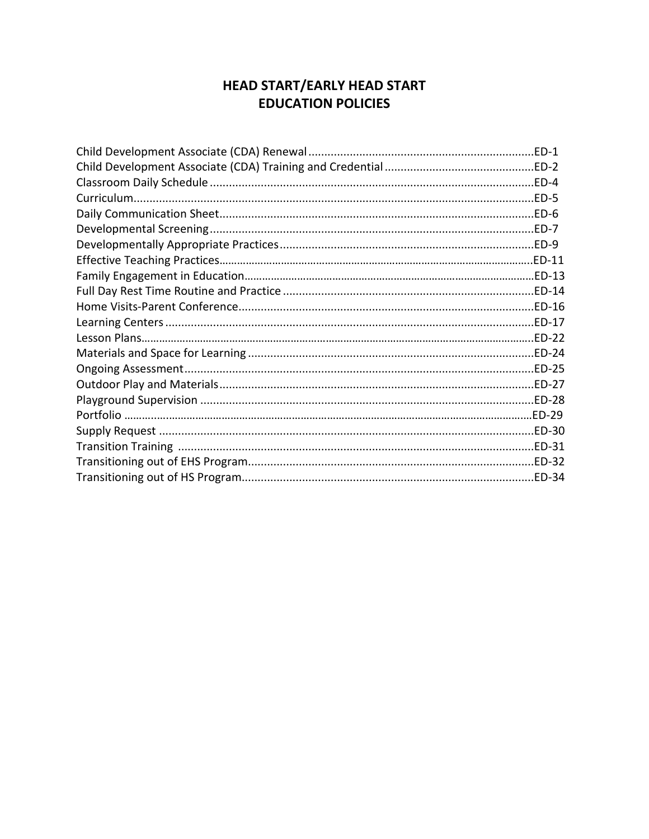# **HEAD START/EARLY HEAD START EDUCATION POLICIES**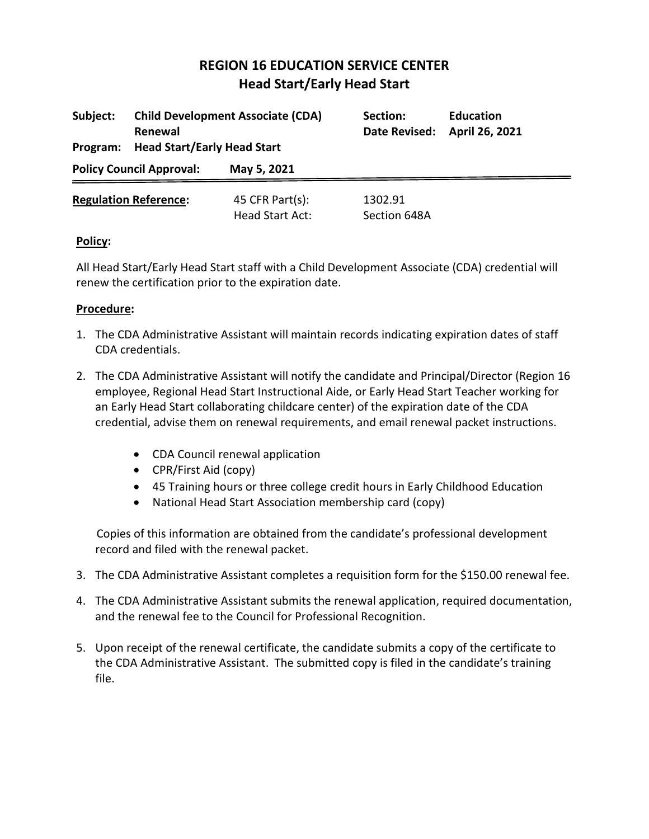| Subject:<br>Program:            | <b>Child Development Associate (CDA)</b><br>Renewal<br><b>Head Start/Early Head Start</b> |                                    | Section:<br>Date Revised: | <b>Education</b><br>April 26, 2021 |
|---------------------------------|-------------------------------------------------------------------------------------------|------------------------------------|---------------------------|------------------------------------|
| <b>Policy Council Approval:</b> |                                                                                           | May 5, 2021                        |                           |                                    |
|                                 | <b>Regulation Reference:</b>                                                              | 45 CFR Part(s):<br>Head Start Act: | 1302.91<br>Section 648A   |                                    |

## **Policy:**

All Head Start/Early Head Start staff with a Child Development Associate (CDA) credential will renew the certification prior to the expiration date.

## **Procedure:**

- 1. The CDA Administrative Assistant will maintain records indicating expiration dates of staff CDA credentials.
- 2. The CDA Administrative Assistant will notify the candidate and Principal/Director (Region 16 employee, Regional Head Start Instructional Aide, or Early Head Start Teacher working for an Early Head Start collaborating childcare center) of the expiration date of the CDA credential, advise them on renewal requirements, and email renewal packet instructions.
	- CDA Council renewal application
	- CPR/First Aid (copy)
	- 45 Training hours or three college credit hours in Early Childhood Education
	- National Head Start Association membership card (copy)

 Copies of this information are obtained from the candidate's professional development record and filed with the renewal packet.

- 3. The CDA Administrative Assistant completes a requisition form for the \$150.00 renewal fee.
- 4. The CDA Administrative Assistant submits the renewal application, required documentation, and the renewal fee to the Council for Professional Recognition.
- 5. Upon receipt of the renewal certificate, the candidate submits a copy of the certificate to the CDA Administrative Assistant. The submitted copy is filed in the candidate's training file.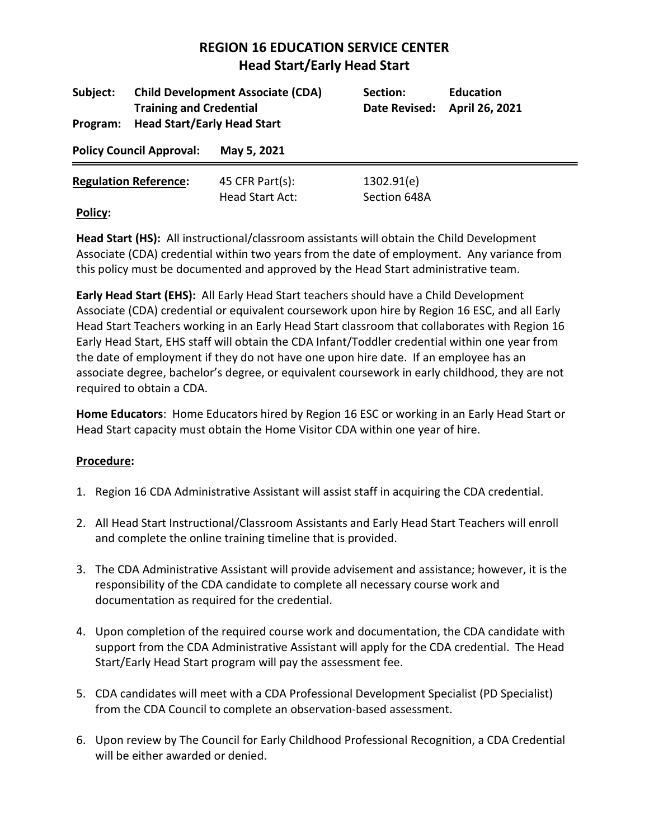| Subject:<br>Program:            | <b>Child Development Associate (CDA)</b><br><b>Training and Credential</b><br><b>Head Start/Early Head Start</b> |                     | Section:<br>Date Revised: | <b>Education</b><br>April 26, 2021 |
|---------------------------------|------------------------------------------------------------------------------------------------------------------|---------------------|---------------------------|------------------------------------|
| <b>Policy Council Approval:</b> |                                                                                                                  | May 5, 2021         |                           |                                    |
|                                 | <b>Regulation Reference:</b>                                                                                     | 45 CFR Part $(s)$ : | 1302.91(e)                |                                    |
| Policy:                         |                                                                                                                  | Head Start Act:     | Section 648A              |                                    |

**Policy:**

**Head Start (HS):** All instructional/classroom assistants will obtain the Child Development Associate (CDA) credential within two years from the date of employment. Any variance from this policy must be documented and approved by the Head Start administrative team.

**Early Head Start (EHS):** All Early Head Start teachers should have a Child Development Associate (CDA) credential or equivalent coursework upon hire by Region 16 ESC, and all Early Head Start Teachers working in an Early Head Start classroom that collaborates with Region 16 Early Head Start, EHS staff will obtain the CDA Infant/Toddler credential within one year from the date of employment if they do not have one upon hire date. If an employee has an associate degree, bachelor's degree, or equivalent coursework in early childhood, they are not required to obtain a CDA.

**Home Educators**: Home Educators hired by Region 16 ESC or working in an Early Head Start or Head Start capacity must obtain the Home Visitor CDA within one year of hire.

- 1. Region 16 CDA Administrative Assistant will assist staff in acquiring the CDA credential.
- 2. All Head Start Instructional/Classroom Assistants and Early Head Start Teachers will enroll and complete the online training timeline that is provided.
- 3. The CDA Administrative Assistant will provide advisement and assistance; however, it is the responsibility of the CDA candidate to complete all necessary course work and documentation as required for the credential.
- 4. Upon completion of the required course work and documentation, the CDA candidate with support from the CDA Administrative Assistant will apply for the CDA credential. The Head Start/Early Head Start program will pay the assessment fee.
- 5. CDA candidates will meet with a CDA Professional Development Specialist (PD Specialist) from the CDA Council to complete an observation-based assessment.
- 6. Upon review by The Council for Early Childhood Professional Recognition, a CDA Credential will be either awarded or denied.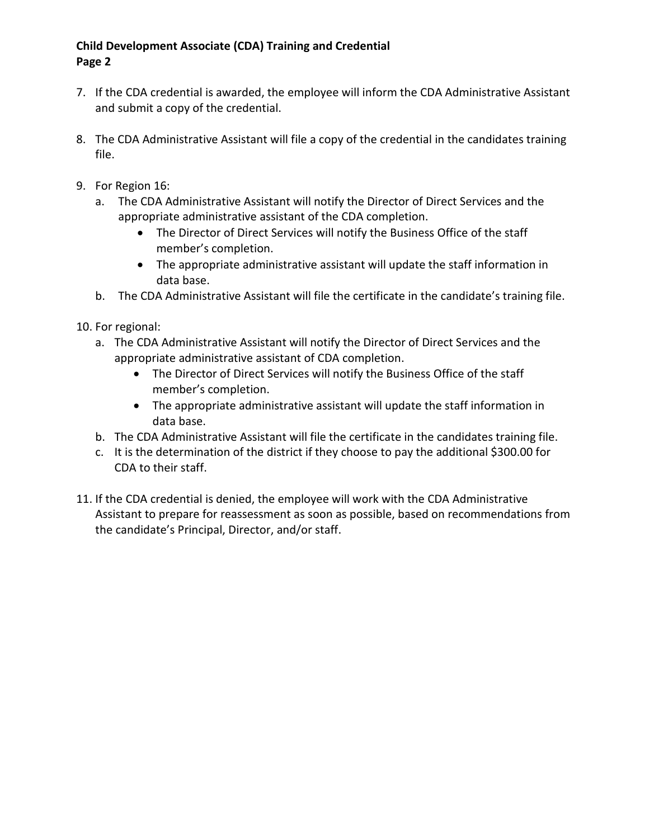## **Child Development Associate (CDA) Training and Credential Page 2**

- 7. If the CDA credential is awarded, the employee will inform the CDA Administrative Assistant and submit a copy of the credential.
- 8. The CDA Administrative Assistant will file a copy of the credential in the candidates training file.
- 9. For Region 16:
	- a. The CDA Administrative Assistant will notify the Director of Direct Services and the appropriate administrative assistant of the CDA completion.
		- The Director of Direct Services will notify the Business Office of the staff member's completion.
		- The appropriate administrative assistant will update the staff information in data base.
	- b. The CDA Administrative Assistant will file the certificate in the candidate's training file.

10. For regional:

- a. The CDA Administrative Assistant will notify the Director of Direct Services and the appropriate administrative assistant of CDA completion.
	- The Director of Direct Services will notify the Business Office of the staff member's completion.
	- The appropriate administrative assistant will update the staff information in data base.
- b. The CDA Administrative Assistant will file the certificate in the candidates training file.
- c. It is the determination of the district if they choose to pay the additional \$300.00 for CDA to their staff.
- 11. If the CDA credential is denied, the employee will work with the CDA Administrative Assistant to prepare for reassessment as soon as possible, based on recommendations from the candidate's Principal, Director, and/or staff.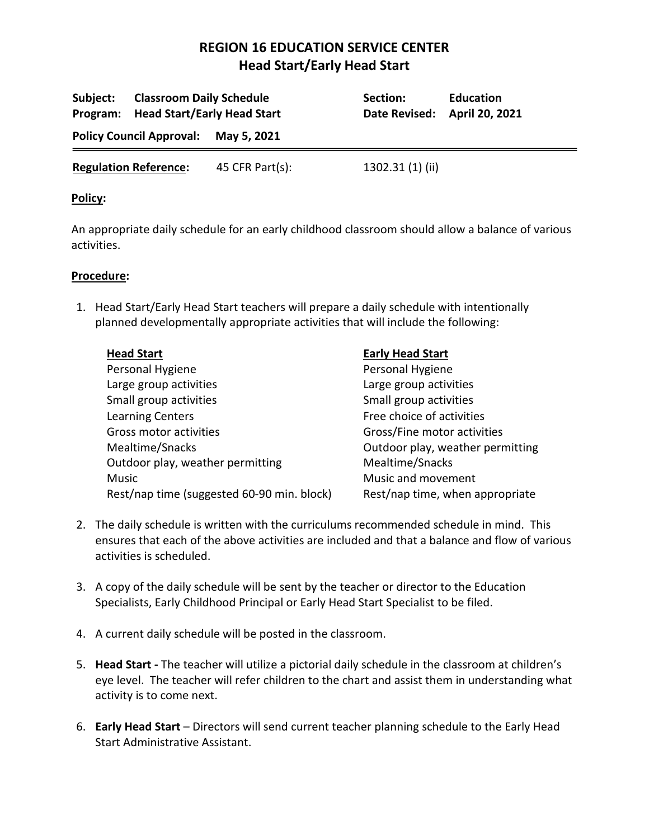| Subject:                             | <b>Classroom Daily Schedule</b><br>Program: Head Start/Early Head Start |                 | Section:<br>Date Revised: April 20, 2021 | <b>Education</b> |
|--------------------------------------|-------------------------------------------------------------------------|-----------------|------------------------------------------|------------------|
| Policy Council Approval: May 5, 2021 |                                                                         |                 |                                          |                  |
| <b>Regulation Reference:</b>         |                                                                         | 45 CFR Part(s): | 1302.31 (1) (ii)                         |                  |

#### **Policy:**

An appropriate daily schedule for an early childhood classroom should allow a balance of various activities.

#### **Procedure:**

1. Head Start/Early Head Start teachers will prepare a daily schedule with intentionally planned developmentally appropriate activities that will include the following:

| <b>Head Start</b>                          | <b>Early Head Start</b>          |
|--------------------------------------------|----------------------------------|
| Personal Hygiene                           | Personal Hygiene                 |
| Large group activities                     | Large group activities           |
| Small group activities                     | Small group activities           |
| <b>Learning Centers</b>                    | Free choice of activities        |
| Gross motor activities                     | Gross/Fine motor activities      |
| Mealtime/Snacks                            | Outdoor play, weather permitting |
| Outdoor play, weather permitting           | Mealtime/Snacks                  |
| Music                                      | Music and movement               |
| Rest/nap time (suggested 60-90 min. block) | Rest/nap time, when appropriate  |

- 2. The daily schedule is written with the curriculums recommended schedule in mind. This ensures that each of the above activities are included and that a balance and flow of various activities is scheduled.
- 3. A copy of the daily schedule will be sent by the teacher or director to the Education Specialists, Early Childhood Principal or Early Head Start Specialist to be filed.
- 4. A current daily schedule will be posted in the classroom.
- 5. **Head Start -** The teacher will utilize a pictorial daily schedule in the classroom at children's eye level. The teacher will refer children to the chart and assist them in understanding what activity is to come next.
- 6. **Early Head Start** Directors will send current teacher planning schedule to the Early Head Start Administrative Assistant.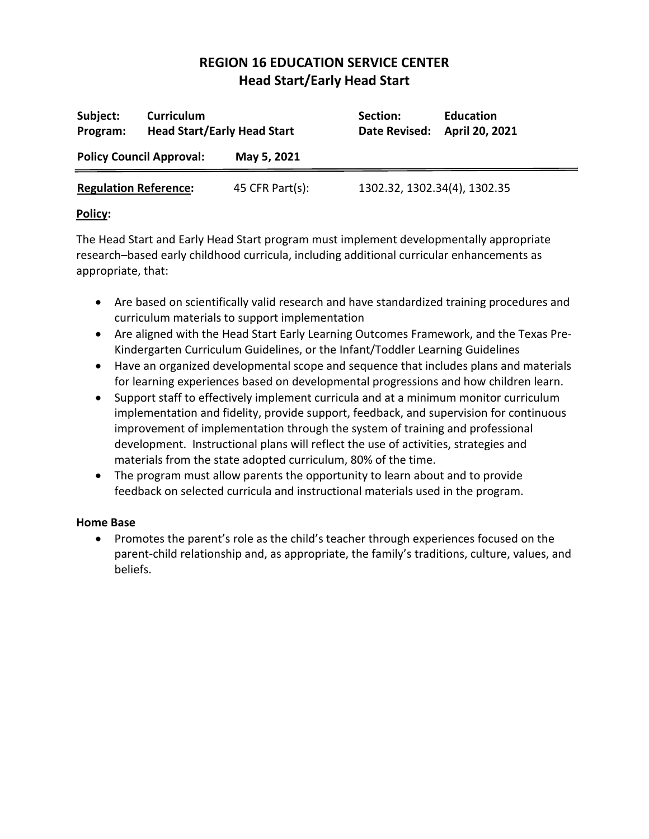| Subject:<br>Program:            | <b>Curriculum</b><br><b>Head Start/Early Head Start</b> |                 | Section:<br>Date Revised:    | <b>Education</b><br>April 20, 2021 |
|---------------------------------|---------------------------------------------------------|-----------------|------------------------------|------------------------------------|
| <b>Policy Council Approval:</b> |                                                         | May 5, 2021     |                              |                                    |
| <b>Regulation Reference:</b>    |                                                         | 45 CFR Part(s): | 1302.32, 1302.34(4), 1302.35 |                                    |

## **Policy:**

The Head Start and Early Head Start program must implement developmentally appropriate research–based early childhood curricula, including additional curricular enhancements as appropriate, that:

- Are based on scientifically valid research and have standardized training procedures and curriculum materials to support implementation
- Are aligned with the Head Start Early Learning Outcomes Framework, and the Texas Pre-Kindergarten Curriculum Guidelines, or the Infant/Toddler Learning Guidelines
- Have an organized developmental scope and sequence that includes plans and materials for learning experiences based on developmental progressions and how children learn.
- Support staff to effectively implement curricula and at a minimum monitor curriculum implementation and fidelity, provide support, feedback, and supervision for continuous improvement of implementation through the system of training and professional development. Instructional plans will reflect the use of activities, strategies and materials from the state adopted curriculum, 80% of the time.
- The program must allow parents the opportunity to learn about and to provide feedback on selected curricula and instructional materials used in the program.

## **Home Base**

• Promotes the parent's role as the child's teacher through experiences focused on the parent-child relationship and, as appropriate, the family's traditions, culture, values, and beliefs.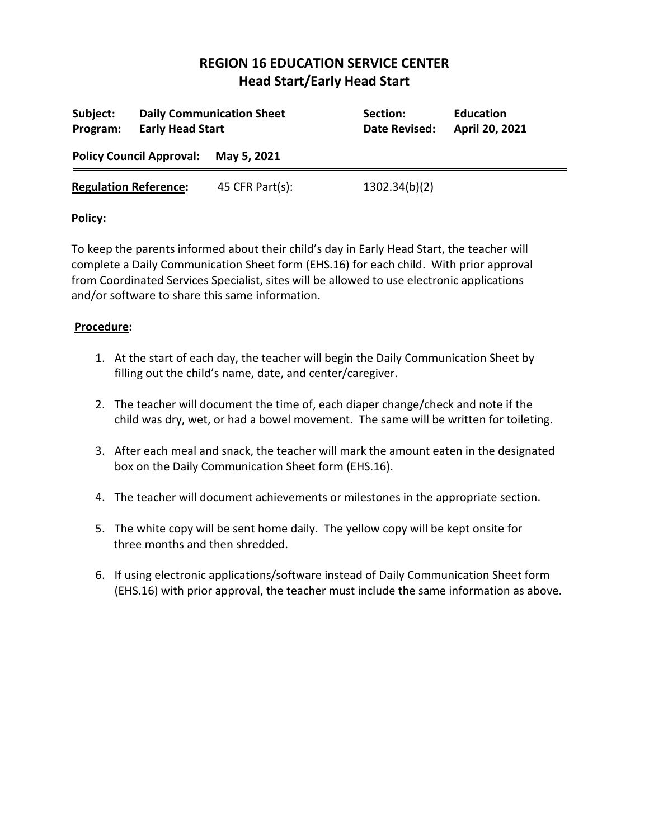| Subject:<br>Program:            | <b>Early Head Start</b> | <b>Daily Communication Sheet</b> | Section:<br>Date Revised: | <b>Education</b><br>April 20, 2021 |
|---------------------------------|-------------------------|----------------------------------|---------------------------|------------------------------------|
| <b>Policy Council Approval:</b> |                         | May 5, 2021                      |                           |                                    |
| <b>Regulation Reference:</b>    |                         | 45 CFR Part(s):                  | 1302.34(b)(2)             |                                    |

## **Policy:**

To keep the parents informed about their child's day in Early Head Start, the teacher will complete a Daily Communication Sheet form (EHS.16) for each child. With prior approval from Coordinated Services Specialist, sites will be allowed to use electronic applications and/or software to share this same information.

- 1. At the start of each day, the teacher will begin the Daily Communication Sheet by filling out the child's name, date, and center/caregiver.
- 2. The teacher will document the time of, each diaper change/check and note if the child was dry, wet, or had a bowel movement. The same will be written for toileting.
- 3. After each meal and snack, the teacher will mark the amount eaten in the designated box on the Daily Communication Sheet form (EHS.16).
- 4. The teacher will document achievements or milestones in the appropriate section.
- 5. The white copy will be sent home daily. The yellow copy will be kept onsite for three months and then shredded.
- 6. If using electronic applications/software instead of Daily Communication Sheet form (EHS.16) with prior approval, the teacher must include the same information as above.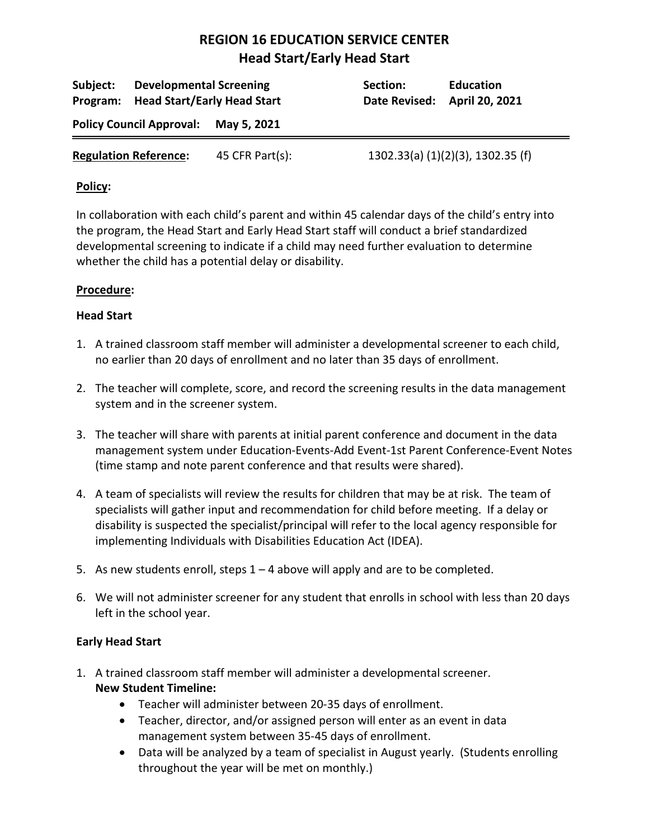| <b>Developmental Screening</b><br>Subject:<br><b>Head Start/Early Head Start</b><br>Program: |                                 |                     | Section:<br>Date Revised: April 20, 2021 | <b>Education</b>                  |
|----------------------------------------------------------------------------------------------|---------------------------------|---------------------|------------------------------------------|-----------------------------------|
|                                                                                              | <b>Policy Council Approval:</b> | May 5, 2021         |                                          |                                   |
|                                                                                              | <b>Regulation Reference:</b>    | 45 CFR Part $(s)$ : |                                          | 1302.33(a) (1)(2)(3), 1302.35 (f) |

### **Policy:**

In collaboration with each child's parent and within 45 calendar days of the child's entry into the program, the Head Start and Early Head Start staff will conduct a brief standardized developmental screening to indicate if a child may need further evaluation to determine whether the child has a potential delay or disability.

### **Procedure:**

### **Head Start**

- 1. A trained classroom staff member will administer a developmental screener to each child, no earlier than 20 days of enrollment and no later than 35 days of enrollment.
- 2. The teacher will complete, score, and record the screening results in the data management system and in the screener system.
- 3. The teacher will share with parents at initial parent conference and document in the data management system under Education-Events-Add Event-1st Parent Conference-Event Notes (time stamp and note parent conference and that results were shared).
- 4. A team of specialists will review the results for children that may be at risk. The team of specialists will gather input and recommendation for child before meeting. If a delay or disability is suspected the specialist/principal will refer to the local agency responsible for implementing Individuals with Disabilities Education Act (IDEA).
- 5. As new students enroll, steps 1 4 above will apply and are to be completed.
- 6. We will not administer screener for any student that enrolls in school with less than 20 days left in the school year.

## **Early Head Start**

- 1. A trained classroom staff member will administer a developmental screener. **New Student Timeline:**
	- Teacher will administer between 20-35 days of enrollment.
	- Teacher, director, and/or assigned person will enter as an event in data management system between 35-45 days of enrollment.
	- Data will be analyzed by a team of specialist in August yearly. (Students enrolling throughout the year will be met on monthly.)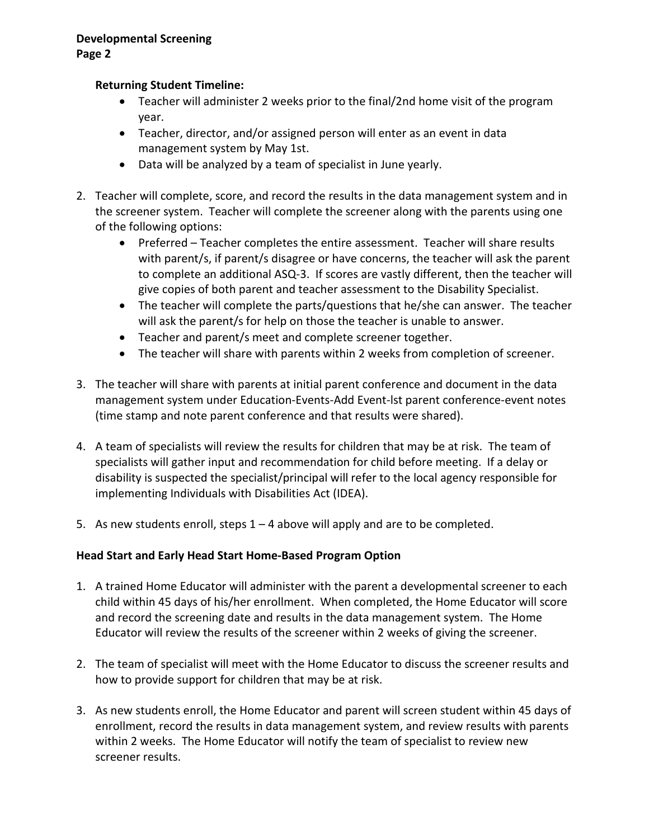## **Returning Student Timeline:**

- Teacher will administer 2 weeks prior to the final/2nd home visit of the program year.
- Teacher, director, and/or assigned person will enter as an event in data management system by May 1st.
- Data will be analyzed by a team of specialist in June yearly.
- 2. Teacher will complete, score, and record the results in the data management system and in the screener system. Teacher will complete the screener along with the parents using one of the following options:
	- Preferred Teacher completes the entire assessment. Teacher will share results with parent/s, if parent/s disagree or have concerns, the teacher will ask the parent to complete an additional ASQ-3. If scores are vastly different, then the teacher will give copies of both parent and teacher assessment to the Disability Specialist.
	- The teacher will complete the parts/questions that he/she can answer. The teacher will ask the parent/s for help on those the teacher is unable to answer.
	- Teacher and parent/s meet and complete screener together.
	- The teacher will share with parents within 2 weeks from completion of screener.
- 3. The teacher will share with parents at initial parent conference and document in the data management system under Education-Events-Add Event-lst parent conference-event notes (time stamp and note parent conference and that results were shared).
- 4. A team of specialists will review the results for children that may be at risk. The team of specialists will gather input and recommendation for child before meeting. If a delay or disability is suspected the specialist/principal will refer to the local agency responsible for implementing Individuals with Disabilities Act (IDEA).
- 5. As new students enroll, steps  $1 4$  above will apply and are to be completed.

## **Head Start and Early Head Start Home-Based Program Option**

- 1. A trained Home Educator will administer with the parent a developmental screener to each child within 45 days of his/her enrollment. When completed, the Home Educator will score and record the screening date and results in the data management system. The Home Educator will review the results of the screener within 2 weeks of giving the screener.
- 2. The team of specialist will meet with the Home Educator to discuss the screener results and how to provide support for children that may be at risk.
- 3. As new students enroll, the Home Educator and parent will screen student within 45 days of enrollment, record the results in data management system, and review results with parents within 2 weeks. The Home Educator will notify the team of specialist to review new screener results.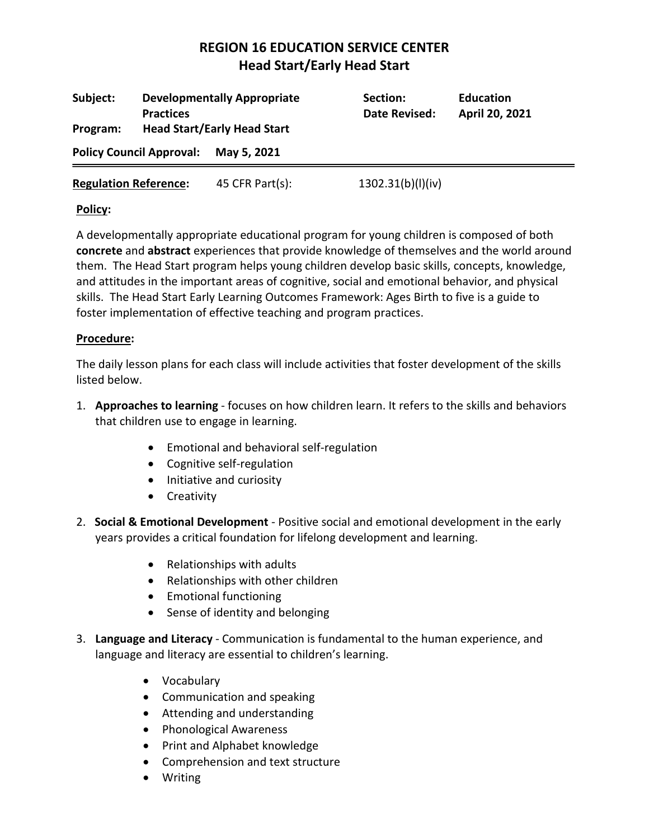| Subject:<br>Program:            | <b>Developmentally Appropriate</b><br><b>Practices</b><br><b>Head Start/Early Head Start</b> |                     | Section:<br>Date Revised: | <b>Education</b><br>April 20, 2021 |
|---------------------------------|----------------------------------------------------------------------------------------------|---------------------|---------------------------|------------------------------------|
| <b>Policy Council Approval:</b> |                                                                                              | May 5, 2021         |                           |                                    |
| <b>Regulation Reference:</b>    |                                                                                              | 45 CFR Part $(s)$ : | 1302.31(b)(1)(iv)         |                                    |

### **Policy:**

A developmentally appropriate educational program for young children is composed of both **concrete** and **abstract** experiences that provide knowledge of themselves and the world around them. The Head Start program helps young children develop basic skills, concepts, knowledge, and attitudes in the important areas of cognitive, social and emotional behavior, and physical skills. The Head Start Early Learning Outcomes Framework: Ages Birth to five is a guide to foster implementation of effective teaching and program practices.

### **Procedure:**

The daily lesson plans for each class will include activities that foster development of the skills listed below.

- 1. **Approaches to learning** focuses on how children learn. It refers to the skills and behaviors that children use to engage in learning.
	- Emotional and behavioral self-regulation
	- Cognitive self-regulation
	- Initiative and curiosity
	- Creativity
- 2. **Social & Emotional Development** Positive social and emotional development in the early years provides a critical foundation for lifelong development and learning.
	- Relationships with adults
	- Relationships with other children
	- Emotional functioning
	- Sense of identity and belonging
- 3. **Language and Literacy** Communication is fundamental to the human experience, and language and literacy are essential to children's learning.
	- Vocabulary
	- Communication and speaking
	- Attending and understanding
	- Phonological Awareness
	- Print and Alphabet knowledge
	- Comprehension and text structure
	- Writing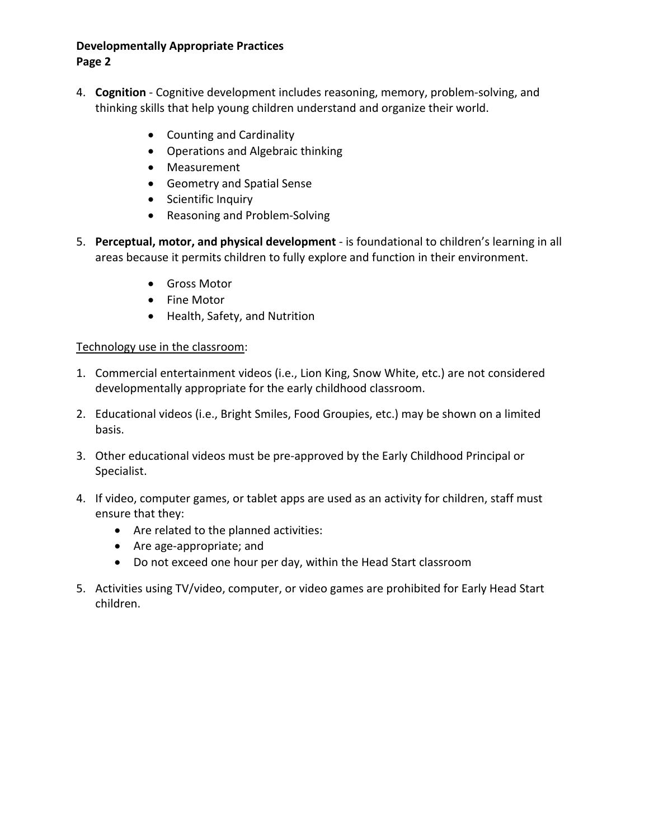## **Developmentally Appropriate Practices**

### **Page 2**

- 4. **Cognition** Cognitive development includes reasoning, memory, problem-solving, and thinking skills that help young children understand and organize their world.
	- Counting and Cardinality
	- Operations and Algebraic thinking
	- Measurement
	- Geometry and Spatial Sense
	- Scientific Inquiry
	- Reasoning and Problem-Solving
- 5. **Perceptual, motor, and physical development**  is foundational to children's learning in all areas because it permits children to fully explore and function in their environment.
	- Gross Motor
	- Fine Motor
	- Health, Safety, and Nutrition

### Technology use in the classroom:

- 1. Commercial entertainment videos (i.e., Lion King, Snow White, etc.) are not considered developmentally appropriate for the early childhood classroom.
- 2. Educational videos (i.e., Bright Smiles, Food Groupies, etc.) may be shown on a limited basis.
- 3. Other educational videos must be pre-approved by the Early Childhood Principal or Specialist.
- 4. If video, computer games, or tablet apps are used as an activity for children, staff must ensure that they:
	- Are related to the planned activities:
	- Are age-appropriate; and
	- Do not exceed one hour per day, within the Head Start classroom
- 5. Activities using TV/video, computer, or video games are prohibited for Early Head Start children.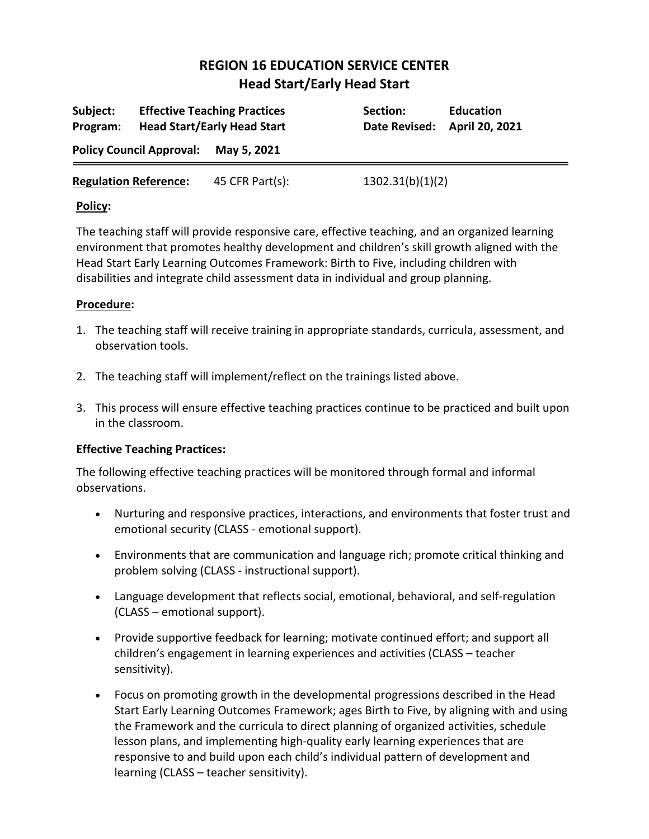| Subject:<br>Program:            |  | <b>Effective Teaching Practices</b><br><b>Head Start/Early Head Start</b> | Section:<br><b>Date Revised:</b> | <b>Education</b><br>April 20, 2021 |
|---------------------------------|--|---------------------------------------------------------------------------|----------------------------------|------------------------------------|
| <b>Policy Council Approval:</b> |  | May 5, 2021                                                               |                                  |                                    |
| <b>Regulation Reference:</b>    |  | 45 CFR Part(s):                                                           | 1302.31(b)(1)(2)                 |                                    |

### **Policy:**

The teaching staff will provide responsive care, effective teaching, and an organized learning environment that promotes healthy development and children's skill growth aligned with the Head Start Early Learning Outcomes Framework: Birth to Five, including children with disabilities and integrate child assessment data in individual and group planning.

### **Procedure:**

- 1. The teaching staff will receive training in appropriate standards, curricula, assessment, and observation tools.
- 2. The teaching staff will implement/reflect on the trainings listed above.
- 3. This process will ensure effective teaching practices continue to be practiced and built upon in the classroom.

## **Effective Teaching Practices:**

The following effective teaching practices will be monitored through formal and informal observations.

- Nurturing and responsive practices, interactions, and environments that foster trust and emotional security (CLASS - emotional support).
- Environments that are communication and language rich; promote critical thinking and problem solving (CLASS - instructional support).
- Language development that reflects social, emotional, behavioral, and self-regulation (CLASS – emotional support).
- Provide supportive feedback for learning; motivate continued effort; and support all children's engagement in learning experiences and activities (CLASS – teacher sensitivity).
- Focus on promoting growth in the developmental progressions described in the Head Start Early Learning Outcomes Framework; ages Birth to Five, by aligning with and using the Framework and the curricula to direct planning of organized activities, schedule lesson plans, and implementing high-quality early learning experiences that are responsive to and build upon each child's individual pattern of development and learning (CLASS – teacher sensitivity).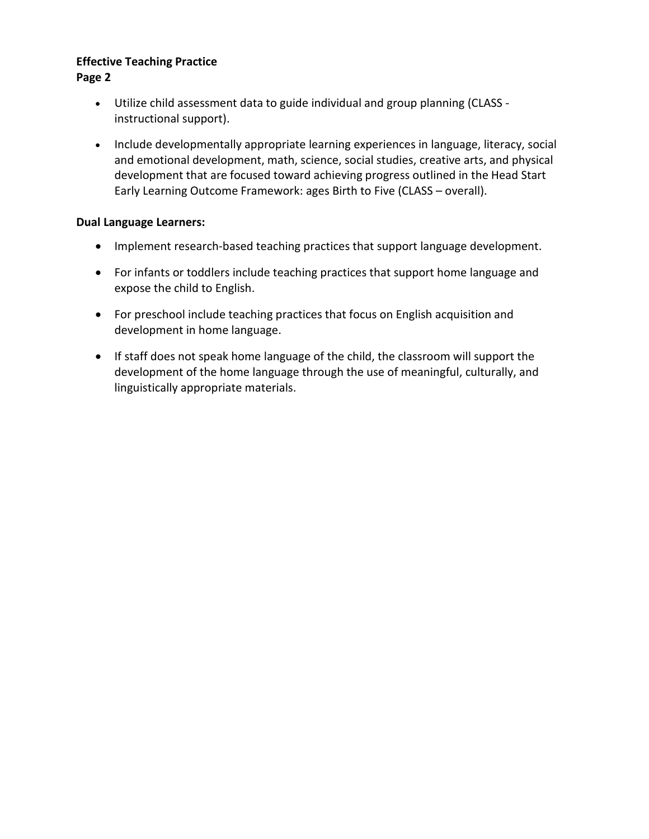#### **Effective Teaching Practice Page 2**

- Utilize child assessment data to guide individual and group planning (CLASS instructional support).
- Include developmentally appropriate learning experiences in language, literacy, social and emotional development, math, science, social studies, creative arts, and physical development that are focused toward achieving progress outlined in the Head Start Early Learning Outcome Framework: ages Birth to Five (CLASS – overall).

## **Dual Language Learners:**

- Implement research-based teaching practices that support language development.
- For infants or toddlers include teaching practices that support home language and expose the child to English.
- For preschool include teaching practices that focus on English acquisition and development in home language.
- If staff does not speak home language of the child, the classroom will support the development of the home language through the use of meaningful, culturally, and linguistically appropriate materials.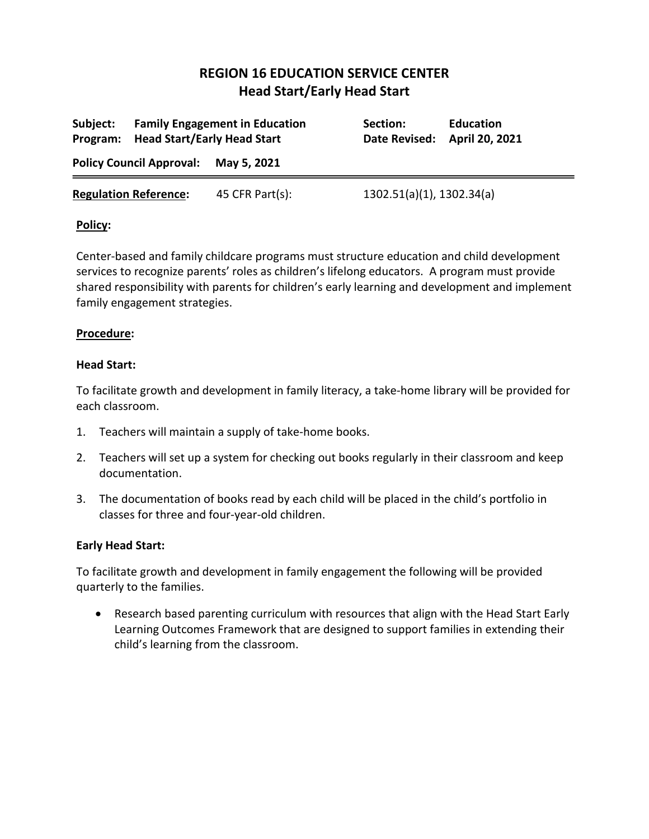|                                      | Program: Head Start/Early Head Start | Subject: Family Engagement in Education | Section:<br>Date Revised: April 20, 2021 | <b>Education</b> |
|--------------------------------------|--------------------------------------|-----------------------------------------|------------------------------------------|------------------|
| Policy Council Approval: May 5, 2021 |                                      |                                         |                                          |                  |
|                                      | <b>Regulation Reference:</b>         | 45 CFR Part(s):                         | 1302.51(a)(1), 1302.34(a)                |                  |

### **Policy:**

Center-based and family childcare programs must structure education and child development services to recognize parents' roles as children's lifelong educators. A program must provide shared responsibility with parents for children's early learning and development and implement family engagement strategies.

### **Procedure:**

#### **Head Start:**

To facilitate growth and development in family literacy, a take-home library will be provided for each classroom.

- 1. Teachers will maintain a supply of take-home books.
- 2. Teachers will set up a system for checking out books regularly in their classroom and keep documentation.
- 3. The documentation of books read by each child will be placed in the child's portfolio in classes for three and four-year-old children.

## **Early Head Start:**

To facilitate growth and development in family engagement the following will be provided quarterly to the families.

• Research based parenting curriculum with resources that align with the Head Start Early Learning Outcomes Framework that are designed to support families in extending their child's learning from the classroom.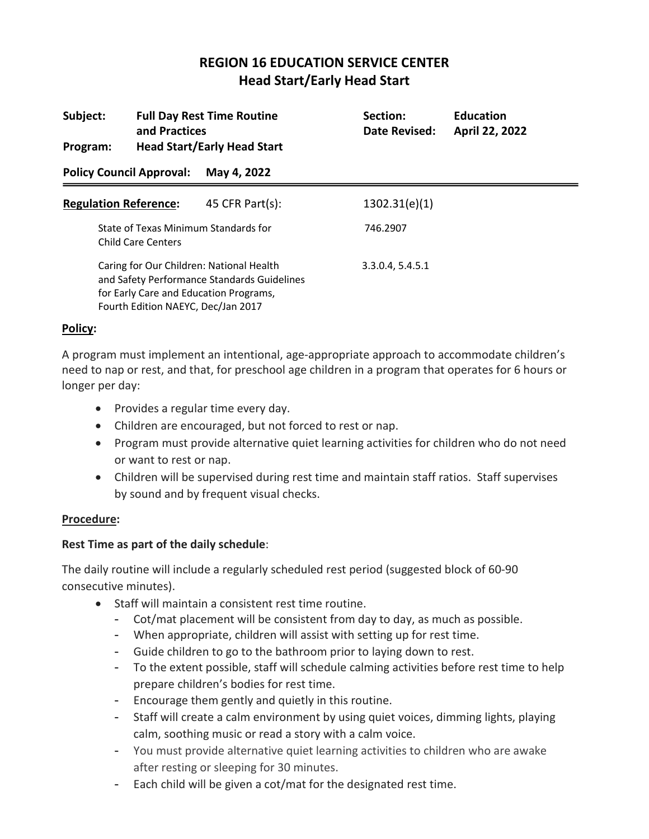| Subject:<br>Program:                                                                                                                                                    | and Practices             | <b>Full Day Rest Time Routine</b><br><b>Head Start/Early Head Start</b> | Section:<br>Date Revised: | <b>Education</b><br>April 22, 2022 |
|-------------------------------------------------------------------------------------------------------------------------------------------------------------------------|---------------------------|-------------------------------------------------------------------------|---------------------------|------------------------------------|
| <b>Policy Council Approval:</b>                                                                                                                                         |                           | May 4, 2022                                                             |                           |                                    |
| <b>Regulation Reference:</b>                                                                                                                                            |                           | 45 CFR Part $(s)$ :                                                     | 1302.31(e)(1)             |                                    |
|                                                                                                                                                                         | <b>Child Care Centers</b> | State of Texas Minimum Standards for                                    | 746.2907                  |                                    |
| Caring for Our Children: National Health<br>and Safety Performance Standards Guidelines<br>for Early Care and Education Programs,<br>Fourth Edition NAEYC, Dec/Jan 2017 |                           |                                                                         | 3.3.0.4, 5.4.5.1          |                                    |

### **Policy:**

A program must implement an intentional, age-appropriate approach to accommodate children's need to nap or rest, and that, for preschool age children in a program that operates for 6 hours or longer per day:

- Provides a regular time every day.
- Children are encouraged, but not forced to rest or nap.
- Program must provide alternative quiet learning activities for children who do not need or want to rest or nap.
- Children will be supervised during rest time and maintain staff ratios. Staff supervises by sound and by frequent visual checks.

## **Procedure:**

## **Rest Time as part of the daily schedule**:

The daily routine will include a regularly scheduled rest period (suggested block of 60-90 consecutive minutes).

- Staff will maintain a consistent rest time routine.
	- Cot/mat placement will be consistent from day to day, as much as possible.
	- When appropriate, children will assist with setting up for rest time.
	- Guide children to go to the bathroom prior to laying down to rest.
	- To the extent possible, staff will schedule calming activities before rest time to help prepare children's bodies for rest time.
	- Encourage them gently and quietly in this routine.
	- Staff will create a calm environment by using quiet voices, dimming lights, playing calm, soothing music or read a story with a calm voice.
	- You must provide alternative quiet learning activities to children who are awake after resting or sleeping for 30 minutes.
	- Each child will be given a cot/mat for the designated rest time.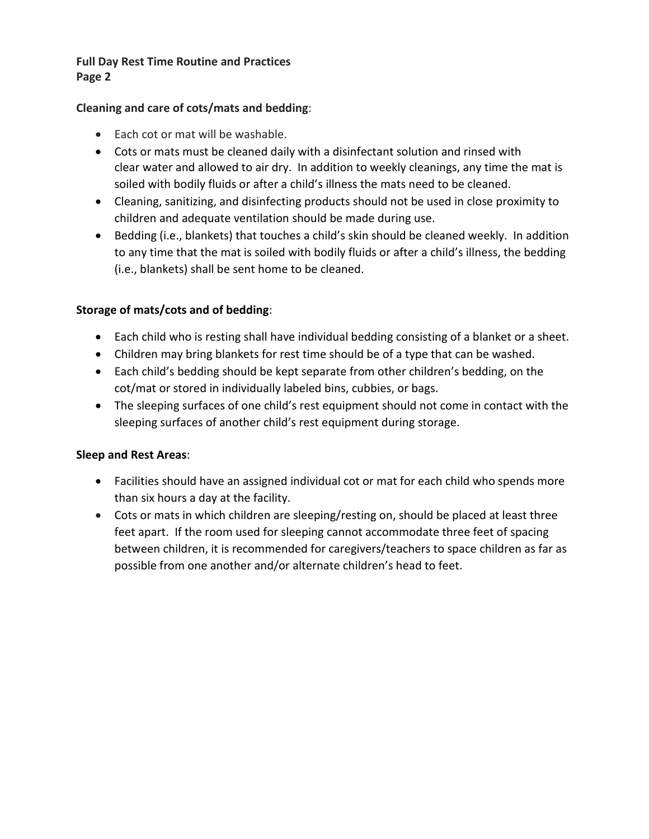## **Full Day Rest Time Routine and Practices Page 2**

## **Cleaning and care of cots/mats and bedding**:

- Each cot or mat will be washable.
- Cots or mats must be cleaned daily with a disinfectant solution and rinsed with clear water and allowed to air dry. In addition to weekly cleanings, any time the mat is soiled with bodily fluids or after a child's illness the mats need to be cleaned.
- Cleaning, sanitizing, and disinfecting products should not be used in close proximity to children and adequate ventilation should be made during use.
- Bedding (i.e., blankets) that touches a child's skin should be cleaned weekly. In addition to any time that the mat is soiled with bodily fluids or after a child's illness, the bedding (i.e., blankets) shall be sent home to be cleaned.

## **Storage of mats/cots and of bedding**:

- Each child who is resting shall have individual bedding consisting of a blanket or a sheet.
- Children may bring blankets for rest time should be of a type that can be washed.
- Each child's bedding should be kept separate from other children's bedding, on the cot/mat or stored in individually labeled bins, cubbies, or bags.
- The sleeping surfaces of one child's rest equipment should not come in contact with the sleeping surfaces of another child's rest equipment during storage.

## **Sleep and Rest Areas**:

- Facilities should have an assigned individual cot or mat for each child who spends more than six hours a day at the facility.
- Cots or mats in which children are sleeping/resting on, should be placed at least three feet apart. If the room used for sleeping cannot accommodate three feet of spacing between children, it is recommended for caregivers/teachers to space children as far as possible from one another and/or alternate children's head to feet.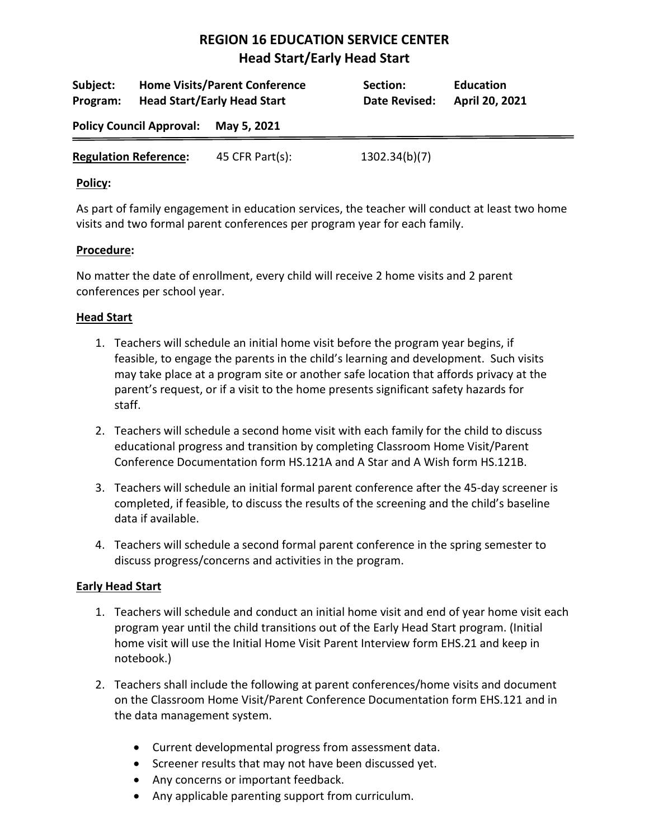| Subject:<br>Program:            |  | <b>Home Visits/Parent Conference</b><br><b>Head Start/Early Head Start</b> | Section:<br>Date Revised: | <b>Education</b><br>April 20, 2021 |
|---------------------------------|--|----------------------------------------------------------------------------|---------------------------|------------------------------------|
| <b>Policy Council Approval:</b> |  | May 5, 2021                                                                |                           |                                    |
| <b>Regulation Reference:</b>    |  | 45 CFR Part $(s)$ :                                                        | 1302.34(b)(7)             |                                    |

#### **Policy:**

As part of family engagement in education services, the teacher will conduct at least two home visits and two formal parent conferences per program year for each family.

## **Procedure:**

No matter the date of enrollment, every child will receive 2 home visits and 2 parent conferences per school year.

## **Head Start**

- 1. Teachers will schedule an initial home visit before the program year begins, if feasible, to engage the parents in the child's learning and development. Such visits may take place at a program site or another safe location that affords privacy at the parent's request, or if a visit to the home presents significant safety hazards for staff.
- 2. Teachers will schedule a second home visit with each family for the child to discuss educational progress and transition by completing Classroom Home Visit/Parent Conference Documentation form HS.121A and A Star and A Wish form HS.121B.
- 3. Teachers will schedule an initial formal parent conference after the 45-day screener is completed, if feasible, to discuss the results of the screening and the child's baseline data if available.
- 4. Teachers will schedule a second formal parent conference in the spring semester to discuss progress/concerns and activities in the program.

## **Early Head Start**

- 1. Teachers will schedule and conduct an initial home visit and end of year home visit each program year until the child transitions out of the Early Head Start program. (Initial home visit will use the Initial Home Visit Parent Interview form EHS.21 and keep in notebook.)
- 2. Teachers shall include the following at parent conferences/home visits and document on the Classroom Home Visit/Parent Conference Documentation form EHS.121 and in the data management system.
	- Current developmental progress from assessment data.
	- Screener results that may not have been discussed yet.
	- Any concerns or important feedback.
	- Any applicable parenting support from curriculum.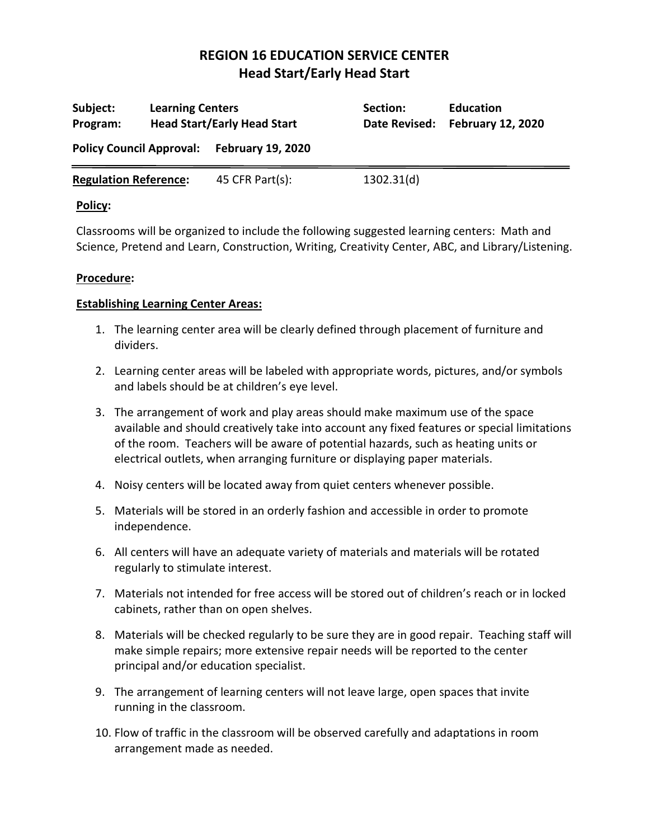| Subject:<br>Program:                       | <b>Learning Centers</b> | <b>Head Start/Early Head Start</b> | Section:<br>Date Revised: | <b>Education</b><br><b>February 12, 2020</b> |
|--------------------------------------------|-------------------------|------------------------------------|---------------------------|----------------------------------------------|
| Policy Council Approval: February 19, 2020 |                         |                                    |                           |                                              |
| <b>Regulation Reference:</b>               |                         | 45 CFR Part(s):                    | 1302.31(d)                |                                              |

#### **Policy:**

Classrooms will be organized to include the following suggested learning centers: Math and Science, Pretend and Learn, Construction, Writing, Creativity Center, ABC, and Library/Listening.

#### **Procedure:**

#### **Establishing Learning Center Areas:**

- 1. The learning center area will be clearly defined through placement of furniture and dividers.
- 2. Learning center areas will be labeled with appropriate words, pictures, and/or symbols and labels should be at children's eye level.
- 3. The arrangement of work and play areas should make maximum use of the space available and should creatively take into account any fixed features or special limitations of the room. Teachers will be aware of potential hazards, such as heating units or electrical outlets, when arranging furniture or displaying paper materials.
- 4. Noisy centers will be located away from quiet centers whenever possible.
- 5. Materials will be stored in an orderly fashion and accessible in order to promote independence.
- 6. All centers will have an adequate variety of materials and materials will be rotated regularly to stimulate interest.
- 7. Materials not intended for free access will be stored out of children's reach or in locked cabinets, rather than on open shelves.
- 8. Materials will be checked regularly to be sure they are in good repair. Teaching staff will make simple repairs; more extensive repair needs will be reported to the center principal and/or education specialist.
- 9. The arrangement of learning centers will not leave large, open spaces that invite running in the classroom.
- 10. Flow of traffic in the classroom will be observed carefully and adaptations in room arrangement made as needed.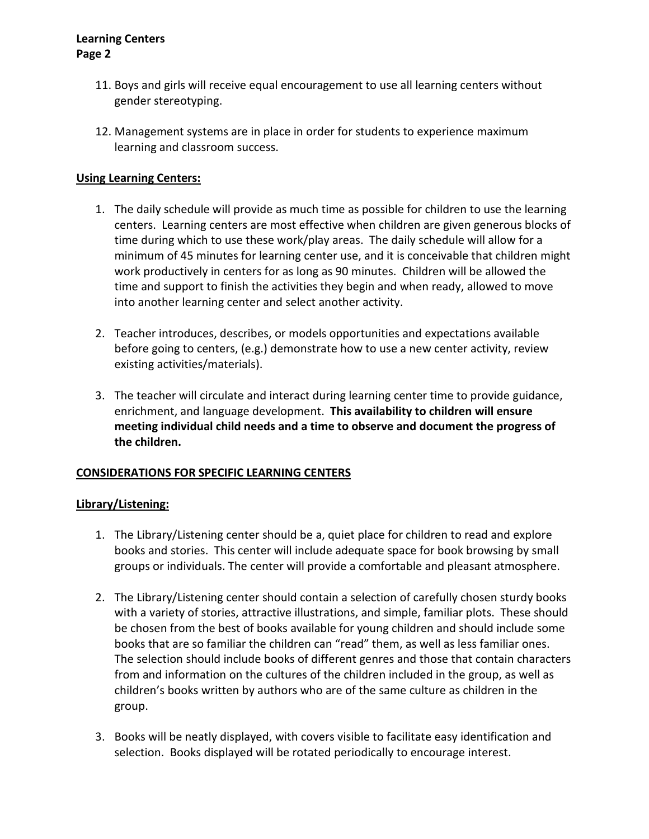- 11. Boys and girls will receive equal encouragement to use all learning centers without gender stereotyping.
- 12. Management systems are in place in order for students to experience maximum learning and classroom success.

### **Using Learning Centers:**

- 1. The daily schedule will provide as much time as possible for children to use the learning centers. Learning centers are most effective when children are given generous blocks of time during which to use these work/play areas. The daily schedule will allow for a minimum of 45 minutes for learning center use, and it is conceivable that children might work productively in centers for as long as 90 minutes. Children will be allowed the time and support to finish the activities they begin and when ready, allowed to move into another learning center and select another activity.
- 2. Teacher introduces, describes, or models opportunities and expectations available before going to centers, (e.g.) demonstrate how to use a new center activity, review existing activities/materials).
- 3. The teacher will circulate and interact during learning center time to provide guidance, enrichment, and language development. **This availability to children will ensure meeting individual child needs and a time to observe and document the progress of the children.**

#### **CONSIDERATIONS FOR SPECIFIC LEARNING CENTERS**

#### **Library/Listening:**

- 1. The Library/Listening center should be a, quiet place for children to read and explore books and stories. This center will include adequate space for book browsing by small groups or individuals. The center will provide a comfortable and pleasant atmosphere.
- 2. The Library/Listening center should contain a selection of carefully chosen sturdy books with a variety of stories, attractive illustrations, and simple, familiar plots. These should be chosen from the best of books available for young children and should include some books that are so familiar the children can "read" them, as well as less familiar ones. The selection should include books of different genres and those that contain characters from and information on the cultures of the children included in the group, as well as children's books written by authors who are of the same culture as children in the group.
- 3. Books will be neatly displayed, with covers visible to facilitate easy identification and selection. Books displayed will be rotated periodically to encourage interest.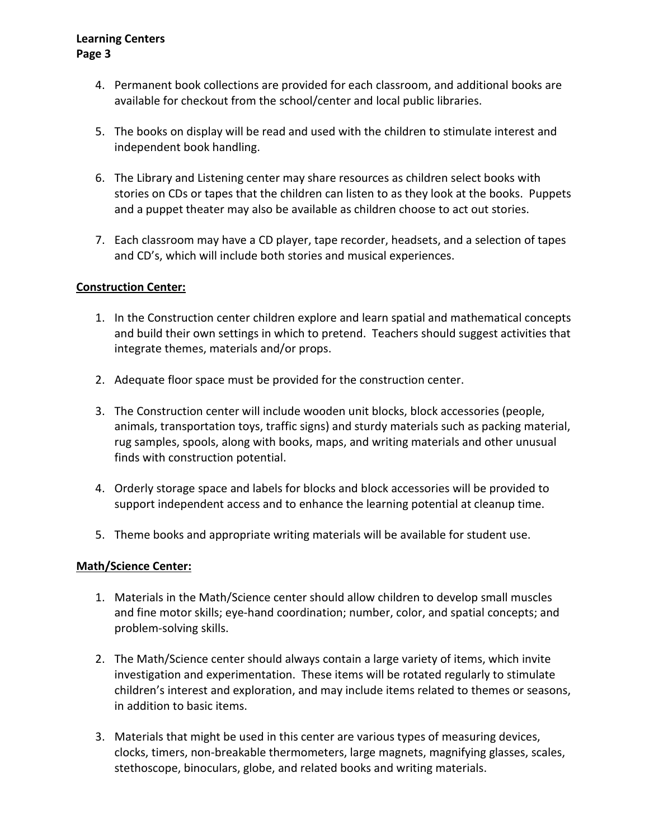- 4. Permanent book collections are provided for each classroom, and additional books are available for checkout from the school/center and local public libraries.
- 5. The books on display will be read and used with the children to stimulate interest and independent book handling.
- 6. The Library and Listening center may share resources as children select books with stories on CDs or tapes that the children can listen to as they look at the books. Puppets and a puppet theater may also be available as children choose to act out stories.
- 7. Each classroom may have a CD player, tape recorder, headsets, and a selection of tapes and CD's, which will include both stories and musical experiences.

### **Construction Center:**

- 1. In the Construction center children explore and learn spatial and mathematical concepts and build their own settings in which to pretend. Teachers should suggest activities that integrate themes, materials and/or props.
- 2. Adequate floor space must be provided for the construction center.
- 3. The Construction center will include wooden unit blocks, block accessories (people, animals, transportation toys, traffic signs) and sturdy materials such as packing material, rug samples, spools, along with books, maps, and writing materials and other unusual finds with construction potential.
- 4. Orderly storage space and labels for blocks and block accessories will be provided to support independent access and to enhance the learning potential at cleanup time.
- 5. Theme books and appropriate writing materials will be available for student use.

#### **Math/Science Center:**

- 1. Materials in the Math/Science center should allow children to develop small muscles and fine motor skills; eye-hand coordination; number, color, and spatial concepts; and problem-solving skills.
- 2. The Math/Science center should always contain a large variety of items, which invite investigation and experimentation. These items will be rotated regularly to stimulate children's interest and exploration, and may include items related to themes or seasons, in addition to basic items.
- 3. Materials that might be used in this center are various types of measuring devices, clocks, timers, non-breakable thermometers, large magnets, magnifying glasses, scales, stethoscope, binoculars, globe, and related books and writing materials.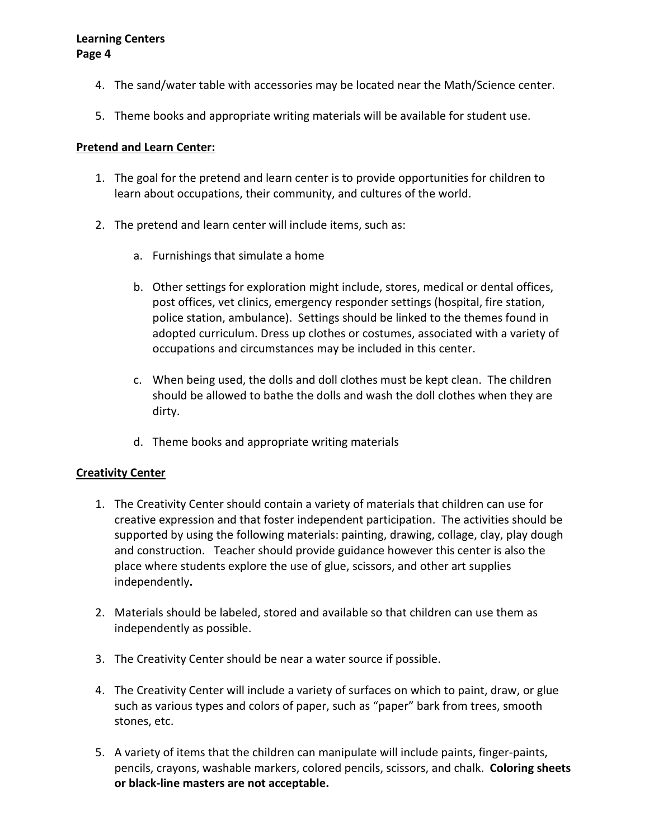- 4. The sand/water table with accessories may be located near the Math/Science center.
- 5. Theme books and appropriate writing materials will be available for student use.

#### **Pretend and Learn Center:**

- 1. The goal for the pretend and learn center is to provide opportunities for children to learn about occupations, their community, and cultures of the world.
- 2. The pretend and learn center will include items, such as:
	- a. Furnishings that simulate a home
	- b. Other settings for exploration might include, stores, medical or dental offices, post offices, vet clinics, emergency responder settings (hospital, fire station, police station, ambulance). Settings should be linked to the themes found in adopted curriculum. Dress up clothes or costumes, associated with a variety of occupations and circumstances may be included in this center.
	- c. When being used, the dolls and doll clothes must be kept clean. The children should be allowed to bathe the dolls and wash the doll clothes when they are dirty.
	- d. Theme books and appropriate writing materials

## **Creativity Center**

- 1. The Creativity Center should contain a variety of materials that children can use for creative expression and that foster independent participation.The activities should be supported by using the following materials: painting, drawing, collage, clay, play dough and construction. Teacher should provide guidance however this center is also the place where students explore the use of glue, scissors, and other art supplies independently**.**
- 2. Materials should be labeled, stored and available so that children can use them as independently as possible.
- 3. The Creativity Center should be near a water source if possible.
- 4. The Creativity Center will include a variety of surfaces on which to paint, draw, or glue such as various types and colors of paper, such as "paper" bark from trees, smooth stones, etc.
- 5. A variety of items that the children can manipulate will include paints, finger-paints, pencils, crayons, washable markers, colored pencils, scissors, and chalk. **Coloring sheets or black-line masters are not acceptable.**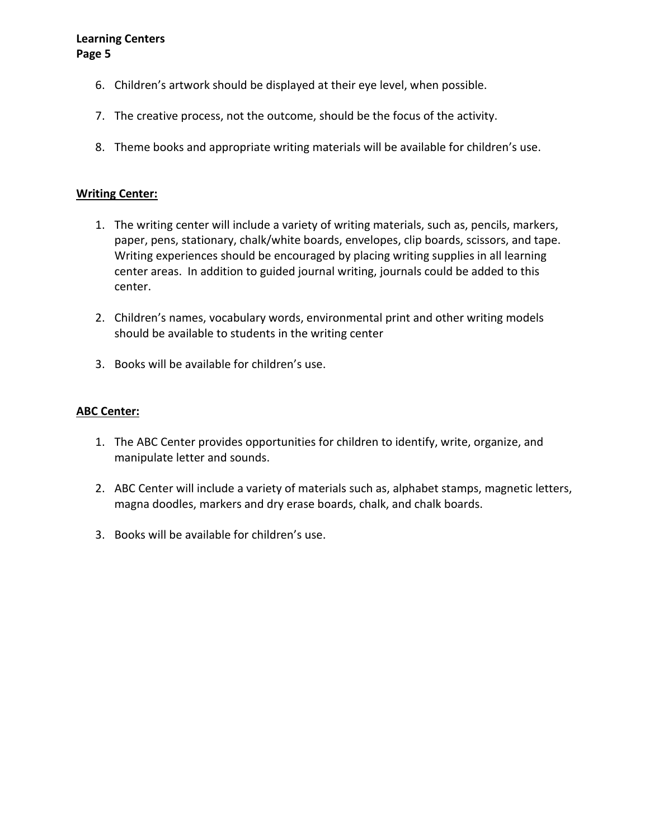- 6. Children's artwork should be displayed at their eye level, when possible.
- 7. The creative process, not the outcome, should be the focus of the activity.
- 8. Theme books and appropriate writing materials will be available for children's use.

#### **Writing Center:**

- 1. The writing center will include a variety of writing materials, such as, pencils, markers, paper, pens, stationary, chalk/white boards, envelopes, clip boards, scissors, and tape. Writing experiences should be encouraged by placing writing supplies in all learning center areas. In addition to guided journal writing, journals could be added to this center.
- 2. Children's names, vocabulary words, environmental print and other writing models should be available to students in the writing center
- 3. Books will be available for children's use.

#### **ABC Center:**

- 1. The ABC Center provides opportunities for children to identify, write, organize, and manipulate letter and sounds.
- 2. ABC Center will include a variety of materials such as, alphabet stamps, magnetic letters, magna doodles, markers and dry erase boards, chalk, and chalk boards.
- 3. Books will be available for children's use.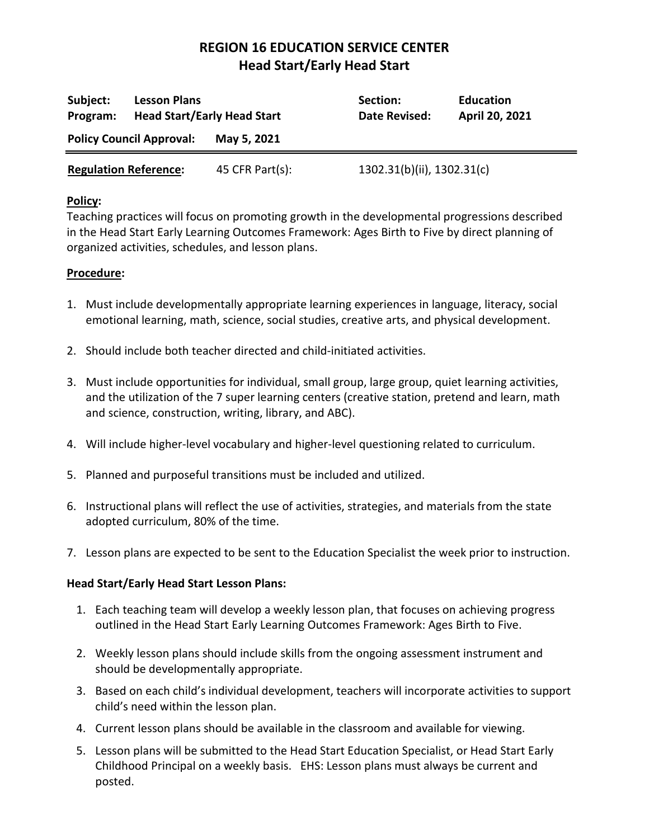| Subject:<br>Program:            | <b>Lesson Plans</b><br><b>Head Start/Early Head Start</b> |                 | Section:<br>Date Revised:  | <b>Education</b><br>April 20, 2021 |
|---------------------------------|-----------------------------------------------------------|-----------------|----------------------------|------------------------------------|
| <b>Policy Council Approval:</b> |                                                           | May 5, 2021     |                            |                                    |
| <b>Regulation Reference:</b>    |                                                           | 45 CFR Part(s): | 1302.31(b)(ii), 1302.31(c) |                                    |

#### **Policy:**

Teaching practices will focus on promoting growth in the developmental progressions described in the Head Start Early Learning Outcomes Framework: Ages Birth to Five by direct planning of organized activities, schedules, and lesson plans.

### **Procedure:**

- 1. Must include developmentally appropriate learning experiences in language, literacy, social emotional learning, math, science, social studies, creative arts, and physical development.
- 2. Should include both teacher directed and child-initiated activities.
- 3. Must include opportunities for individual, small group, large group, quiet learning activities, and the utilization of the 7 super learning centers (creative station, pretend and learn, math and science, construction, writing, library, and ABC).
- 4. Will include higher-level vocabulary and higher-level questioning related to curriculum.
- 5. Planned and purposeful transitions must be included and utilized.
- 6. Instructional plans will reflect the use of activities, strategies, and materials from the state adopted curriculum, 80% of the time.
- 7. Lesson plans are expected to be sent to the Education Specialist the week prior to instruction.

#### **Head Start/Early Head Start Lesson Plans:**

- 1. Each teaching team will develop a weekly lesson plan, that focuses on achieving progress outlined in the Head Start Early Learning Outcomes Framework: Ages Birth to Five.
- 2. Weekly lesson plans should include skills from the ongoing assessment instrument and should be developmentally appropriate.
- 3. Based on each child's individual development, teachers will incorporate activities to support child's need within the lesson plan.
- 4. Current lesson plans should be available in the classroom and available for viewing.
- 5. Lesson plans will be submitted to the Head Start Education Specialist, or Head Start Early Childhood Principal on a weekly basis. EHS: Lesson plans must always be current and posted.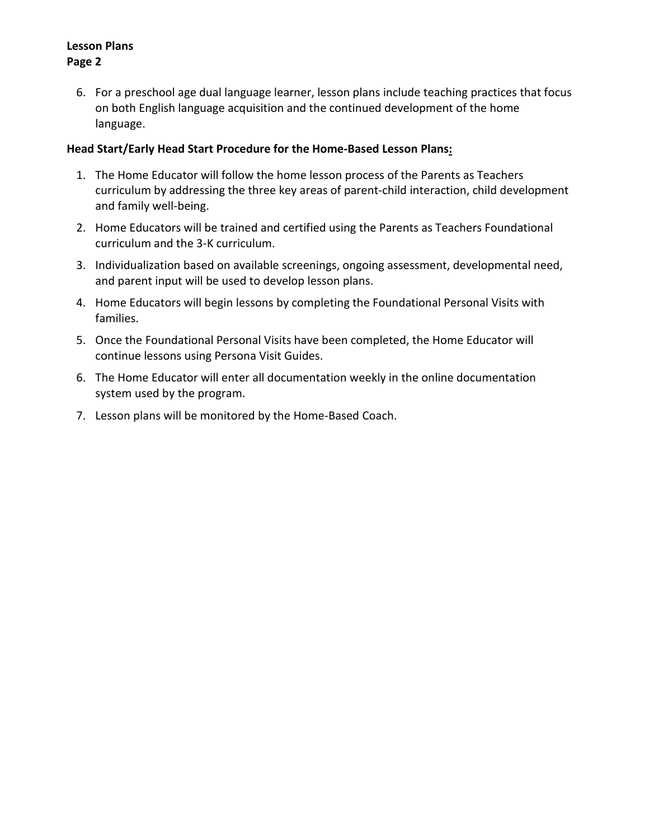## **Lesson Plans Page 2**

6. For a preschool age dual language learner, lesson plans include teaching practices that focus on both English language acquisition and the continued development of the home language.

### **Head Start/Early Head Start Procedure for the Home-Based Lesson Plans:**

- 1. The Home Educator will follow the home lesson process of the Parents as Teachers curriculum by addressing the three key areas of parent-child interaction, child development and family well-being.
- 2. Home Educators will be trained and certified using the Parents as Teachers Foundational curriculum and the 3-K curriculum.
- 3. Individualization based on available screenings, ongoing assessment, developmental need, and parent input will be used to develop lesson plans.
- 4. Home Educators will begin lessons by completing the Foundational Personal Visits with families.
- 5. Once the Foundational Personal Visits have been completed, the Home Educator will continue lessons using Persona Visit Guides.
- 6. The Home Educator will enter all documentation weekly in the online documentation system used by the program.
- 7. Lesson plans will be monitored by the Home-Based Coach.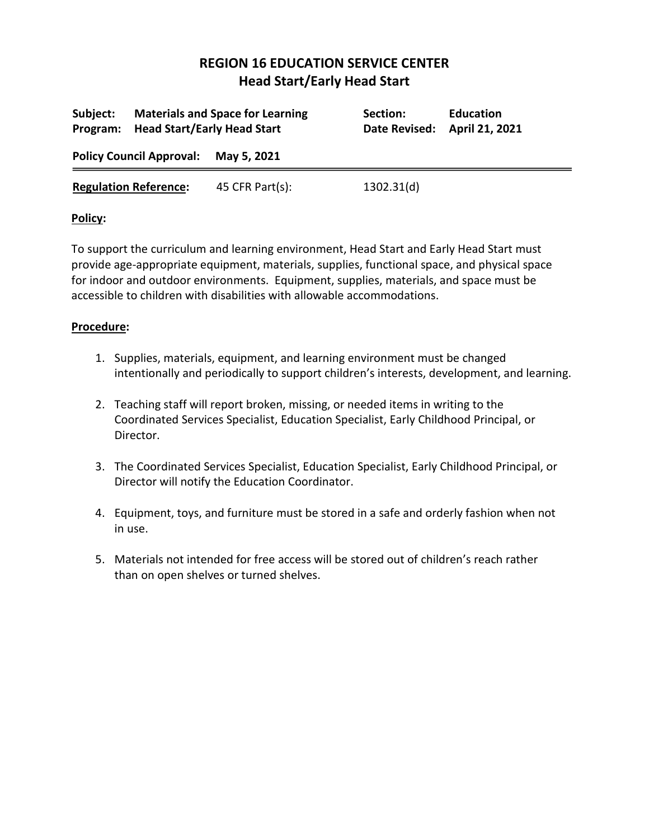| Subject:                             | Program: Head Start/Early Head Start | <b>Materials and Space for Learning</b> | Section:<br>Date Revised: | <b>Education</b><br>April 21, 2021 |
|--------------------------------------|--------------------------------------|-----------------------------------------|---------------------------|------------------------------------|
| Policy Council Approval: May 5, 2021 |                                      |                                         |                           |                                    |
| <b>Regulation Reference:</b>         |                                      | 45 CFR Part $(s)$ :                     | 1302.31(d)                |                                    |

## **Policy:**

To support the curriculum and learning environment, Head Start and Early Head Start must provide age-appropriate equipment, materials, supplies, functional space, and physical space for indoor and outdoor environments. Equipment, supplies, materials, and space must be accessible to children with disabilities with allowable accommodations.

- 1. Supplies, materials, equipment, and learning environment must be changed intentionally and periodically to support children's interests, development, and learning.
- 2. Teaching staff will report broken, missing, or needed items in writing to the Coordinated Services Specialist, Education Specialist, Early Childhood Principal, or Director.
- 3. The Coordinated Services Specialist, Education Specialist, Early Childhood Principal, or Director will notify the Education Coordinator.
- 4. Equipment, toys, and furniture must be stored in a safe and orderly fashion when not in use.
- 5. Materials not intended for free access will be stored out of children's reach rather than on open shelves or turned shelves.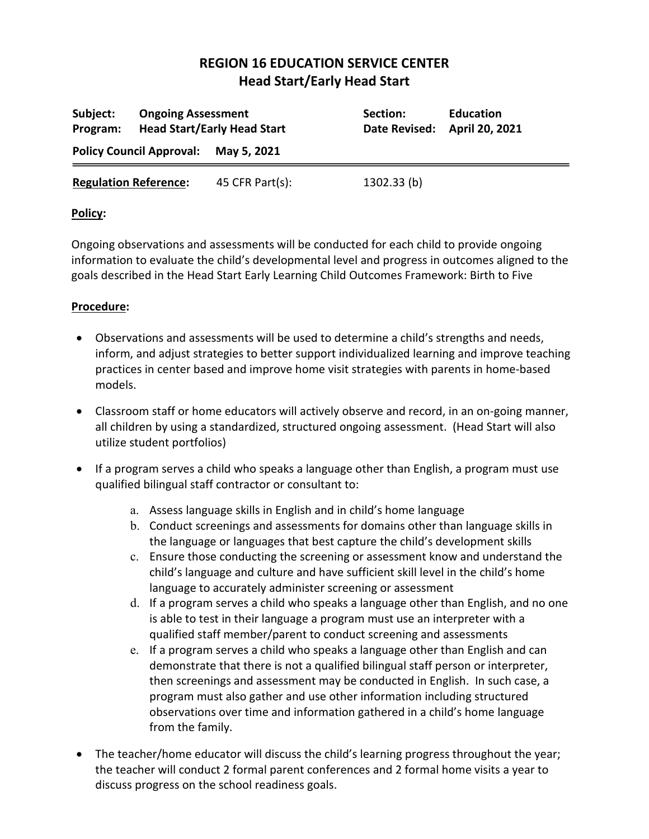| Subject:<br>Program:            | <b>Ongoing Assessment</b> | <b>Head Start/Early Head Start</b> | Section:<br><b>Date Revised:</b> | <b>Education</b><br>April 20, 2021 |
|---------------------------------|---------------------------|------------------------------------|----------------------------------|------------------------------------|
| <b>Policy Council Approval:</b> |                           | May 5, 2021                        |                                  |                                    |
| <b>Regulation Reference:</b>    |                           | 45 CFR Part(s):                    | 1302.33(b)                       |                                    |

## **Policy:**

Ongoing observations and assessments will be conducted for each child to provide ongoing information to evaluate the child's developmental level and progress in outcomes aligned to the goals described in the Head Start Early Learning Child Outcomes Framework: Birth to Five

- Observations and assessments will be used to determine a child's strengths and needs, inform, and adjust strategies to better support individualized learning and improve teaching practices in center based and improve home visit strategies with parents in home-based models.
- Classroom staff or home educators will actively observe and record, in an on-going manner, all children by using a standardized, structured ongoing assessment. (Head Start will also utilize student portfolios)
- If a program serves a child who speaks a language other than English, a program must use qualified bilingual staff contractor or consultant to:
	- a. Assess language skills in English and in child's home language
	- b. Conduct screenings and assessments for domains other than language skills in the language or languages that best capture the child's development skills
	- c. Ensure those conducting the screening or assessment know and understand the child's language and culture and have sufficient skill level in the child's home language to accurately administer screening or assessment
	- d. If a program serves a child who speaks a language other than English, and no one is able to test in their language a program must use an interpreter with a qualified staff member/parent to conduct screening and assessments
	- e. If a program serves a child who speaks a language other than English and can demonstrate that there is not a qualified bilingual staff person or interpreter, then screenings and assessment may be conducted in English. In such case, a program must also gather and use other information including structured observations over time and information gathered in a child's home language from the family.
- The teacher/home educator will discuss the child's learning progress throughout the year; the teacher will conduct 2 formal parent conferences and 2 formal home visits a year to discuss progress on the school readiness goals.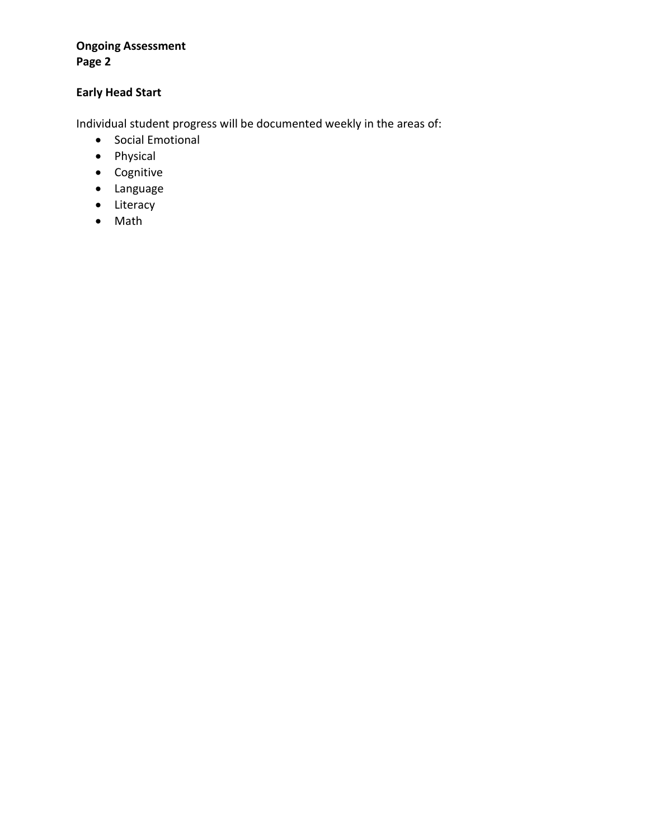## **Ongoing Assessment Page 2**

## **Early Head Start**

Individual student progress will be documented weekly in the areas of:

- Social Emotional
- Physical
- Cognitive
- Language
- Literacy
- Math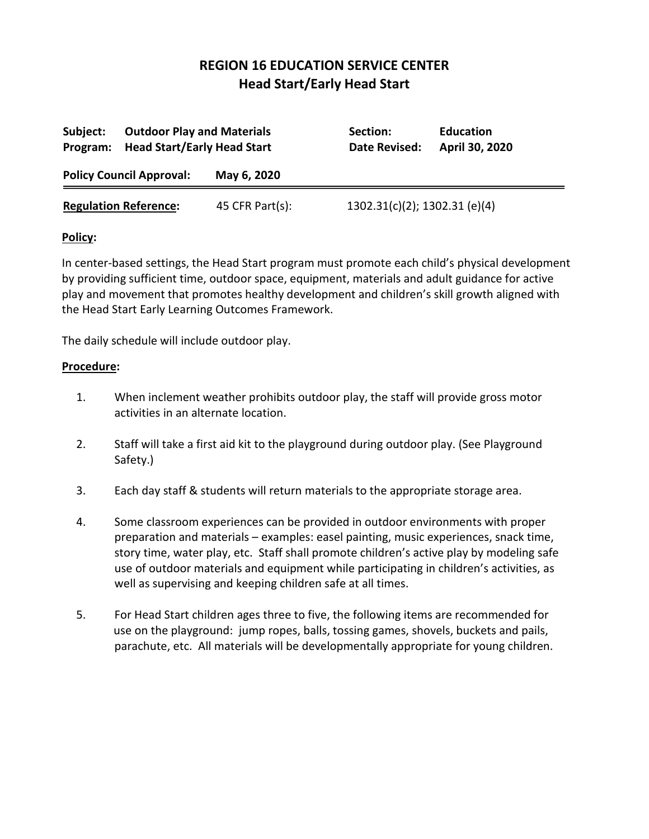| Subject:<br>Program:         | <b>Outdoor Play and Materials</b><br><b>Head Start/Early Head Start</b> |                 | Section:<br>Date Revised:        | <b>Education</b><br>April 30, 2020 |
|------------------------------|-------------------------------------------------------------------------|-----------------|----------------------------------|------------------------------------|
|                              | <b>Policy Council Approval:</b>                                         | May 6, 2020     |                                  |                                    |
| <b>Regulation Reference:</b> |                                                                         | 45 CFR Part(s): | $1302.31(c)(2)$ ; 1302.31 (e)(4) |                                    |

#### **Policy:**

In center-based settings, the Head Start program must promote each child's physical development by providing sufficient time, outdoor space, equipment, materials and adult guidance for active play and movement that promotes healthy development and children's skill growth aligned with the Head Start Early Learning Outcomes Framework.

The daily schedule will include outdoor play.

- 1. When inclement weather prohibits outdoor play, the staff will provide gross motor activities in an alternate location.
- 2. Staff will take a first aid kit to the playground during outdoor play. (See Playground Safety.)
- 3. Each day staff & students will return materials to the appropriate storage area.
- 4. Some classroom experiences can be provided in outdoor environments with proper preparation and materials – examples: easel painting, music experiences, snack time, story time, water play, etc. Staff shall promote children's active play by modeling safe use of outdoor materials and equipment while participating in children's activities, as well as supervising and keeping children safe at all times.
- 5. For Head Start children ages three to five, the following items are recommended for use on the playground: jump ropes, balls, tossing games, shovels, buckets and pails, parachute, etc. All materials will be developmentally appropriate for young children.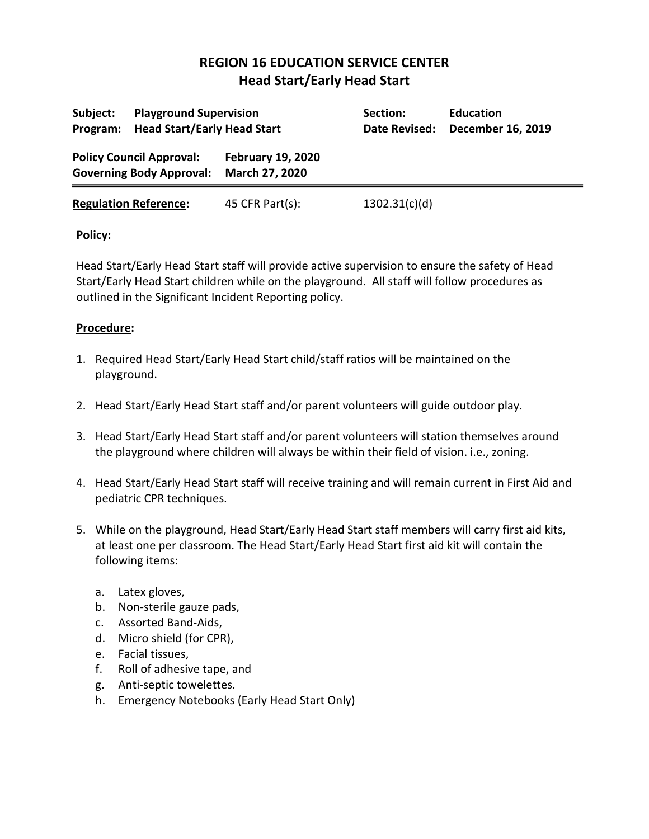| Subject:<br>Program:                                               | <b>Playground Supervision</b><br><b>Head Start/Early Head Start</b> |                                            | Section:<br>Date Revised: | <b>Education</b><br>December 16, 2019 |
|--------------------------------------------------------------------|---------------------------------------------------------------------|--------------------------------------------|---------------------------|---------------------------------------|
| <b>Policy Council Approval:</b><br><b>Governing Body Approval:</b> |                                                                     | <b>February 19, 2020</b><br>March 27, 2020 |                           |                                       |
|                                                                    | <b>Regulation Reference:</b>                                        | 45 CFR Part(s):                            | 1302.31(c)(d)             |                                       |

## **Policy:**

Head Start/Early Head Start staff will provide active supervision to ensure the safety of Head Start/Early Head Start children while on the playground. All staff will follow procedures as outlined in the Significant Incident Reporting policy.

- 1. Required Head Start/Early Head Start child/staff ratios will be maintained on the playground.
- 2. Head Start/Early Head Start staff and/or parent volunteers will guide outdoor play.
- 3. Head Start/Early Head Start staff and/or parent volunteers will station themselves around the playground where children will always be within their field of vision. i.e., zoning.
- 4. Head Start/Early Head Start staff will receive training and will remain current in First Aid and pediatric CPR techniques.
- 5. While on the playground, Head Start/Early Head Start staff members will carry first aid kits, at least one per classroom. The Head Start/Early Head Start first aid kit will contain the following items:
	- a. Latex gloves,
	- b. Non-sterile gauze pads,
	- c. Assorted Band-Aids,
	- d. Micro shield (for CPR),
	- e. Facial tissues,
	- f. Roll of adhesive tape, and
	- g. Anti-septic towelettes.
	- h. Emergency Notebooks (Early Head Start Only)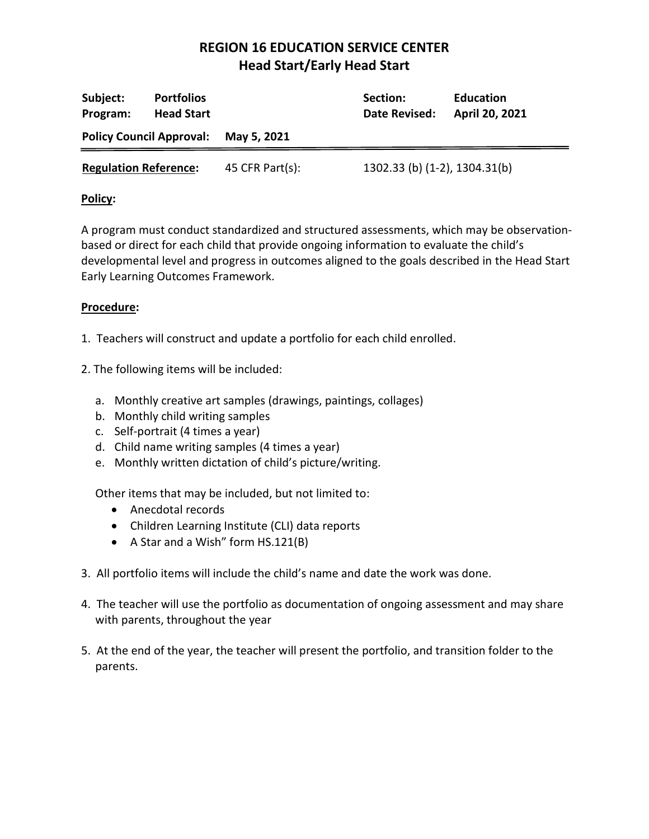| <b>Portfolios</b><br>Subject:<br><b>Head Start</b><br>Program: |  | Section:<br>Date Revised: | <b>Education</b><br>April 20, 2021 |  |
|----------------------------------------------------------------|--|---------------------------|------------------------------------|--|
| <b>Policy Council Approval:</b>                                |  | May 5, 2021               |                                    |  |
| <b>Regulation Reference:</b>                                   |  | 45 CFR Part $(s)$ :       | 1302.33 (b) (1-2), 1304.31(b)      |  |

## **Policy:**

A program must conduct standardized and structured assessments, which may be observationbased or direct for each child that provide ongoing information to evaluate the child's developmental level and progress in outcomes aligned to the goals described in the Head Start Early Learning Outcomes Framework.

## **Procedure:**

- 1. Teachers will construct and update a portfolio for each child enrolled.
- 2. The following items will be included:
	- a. Monthly creative art samples (drawings, paintings, collages)
	- b. Monthly child writing samples
	- c. Self-portrait (4 times a year)
	- d. Child name writing samples (4 times a year)
	- e. Monthly written dictation of child's picture/writing.

Other items that may be included, but not limited to:

- Anecdotal records
- Children Learning Institute (CLI) data reports
- A Star and a Wish" form HS.121(B)
- 3. All portfolio items will include the child's name and date the work was done.
- 4. The teacher will use the portfolio as documentation of ongoing assessment and may share with parents, throughout the year
- 5. At the end of the year, the teacher will present the portfolio, and transition folder to the parents.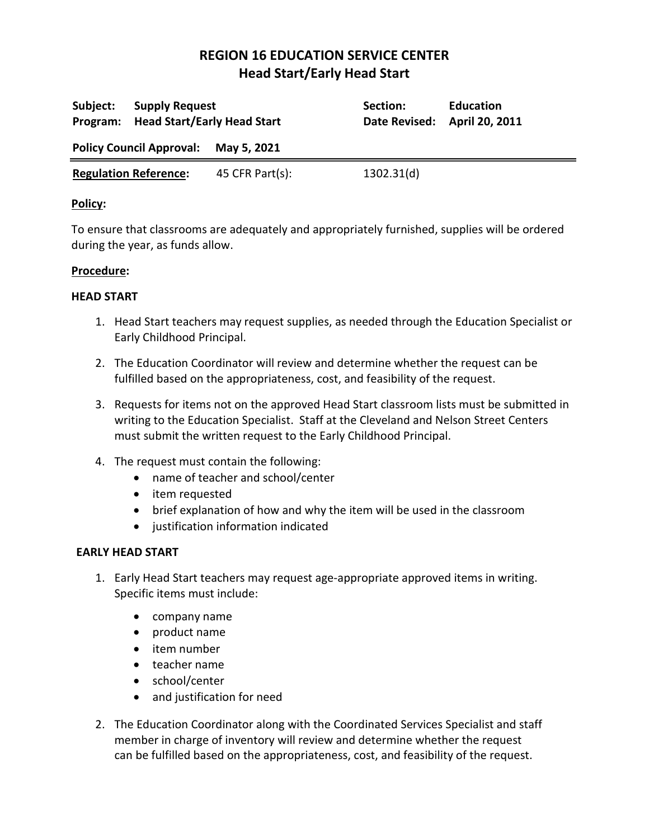| Subject:                     | <b>Supply Request</b><br>Program: Head Start/Early Head Start |                 | Section:<br>Date Revised: April 20, 2011 | <b>Education</b> |
|------------------------------|---------------------------------------------------------------|-----------------|------------------------------------------|------------------|
|                              | Policy Council Approval: May 5, 2021                          |                 |                                          |                  |
| <b>Regulation Reference:</b> |                                                               | 45 CFR Part(s): | 1302.31(d)                               |                  |

### **Policy:**

To ensure that classrooms are adequately and appropriately furnished, supplies will be ordered during the year, as funds allow.

### **Procedure:**

### **HEAD START**

- 1. Head Start teachers may request supplies, as needed through the Education Specialist or Early Childhood Principal.
- 2. The Education Coordinator will review and determine whether the request can be fulfilled based on the appropriateness, cost, and feasibility of the request.
- 3. Requests for items not on the approved Head Start classroom lists must be submitted in writing to the Education Specialist. Staff at the Cleveland and Nelson Street Centers must submit the written request to the Early Childhood Principal.
- 4. The request must contain the following:
	- name of teacher and school/center
	- item requested
	- brief explanation of how and why the item will be used in the classroom
	- justification information indicated

#### **EARLY HEAD START**

- 1. Early Head Start teachers may request age-appropriate approved items in writing. Specific items must include:
	- company name
	- product name
	- item number
	- teacher name
	- school/center
	- and justification for need
- 2. The Education Coordinator along with the Coordinated Services Specialist and staff member in charge of inventory will review and determine whether the request can be fulfilled based on the appropriateness, cost, and feasibility of the request.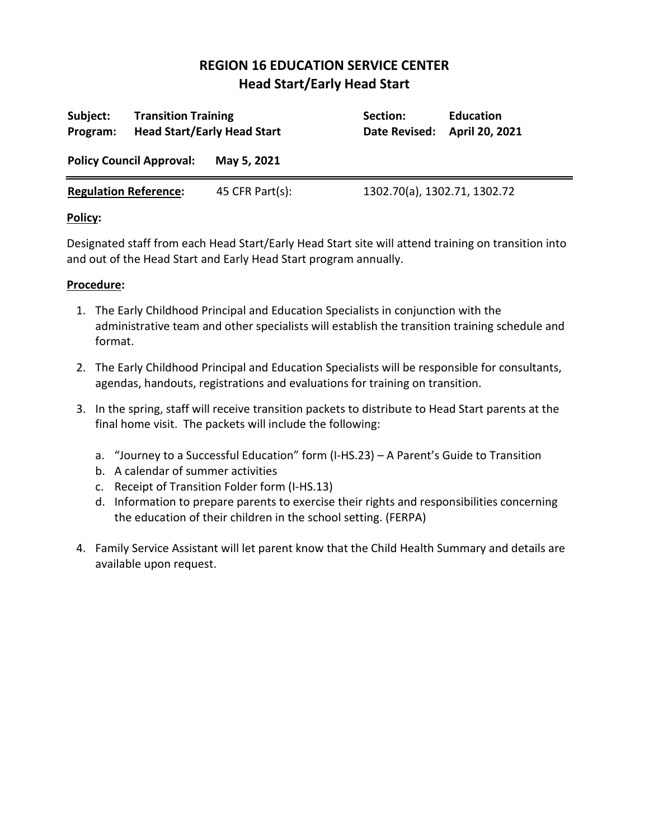| Subject:<br>Program:            | <b>Transition Training</b><br><b>Head Start/Early Head Start</b> |                 | Section:<br>Date Revised:    | <b>Education</b><br>April 20, 2021 |
|---------------------------------|------------------------------------------------------------------|-----------------|------------------------------|------------------------------------|
| <b>Policy Council Approval:</b> |                                                                  | May 5, 2021     |                              |                                    |
| <b>Regulation Reference:</b>    |                                                                  | 45 CFR Part(s): | 1302.70(a), 1302.71, 1302.72 |                                    |

## **Policy:**

Designated staff from each Head Start/Early Head Start site will attend training on transition into and out of the Head Start and Early Head Start program annually.

- 1. The Early Childhood Principal and Education Specialists in conjunction with the administrative team and other specialists will establish the transition training schedule and format.
- 2. The Early Childhood Principal and Education Specialists will be responsible for consultants, agendas, handouts, registrations and evaluations for training on transition.
- 3. In the spring, staff will receive transition packets to distribute to Head Start parents at the final home visit. The packets will include the following:
	- a. "Journey to a Successful Education" form (I-HS.23) A Parent's Guide to Transition
	- b. A calendar of summer activities
	- c. Receipt of Transition Folder form (I-HS.13)
	- d. Information to prepare parents to exercise their rights and responsibilities concerning the education of their children in the school setting. (FERPA)
- 4. Family Service Assistant will let parent know that the Child Health Summary and details are available upon request.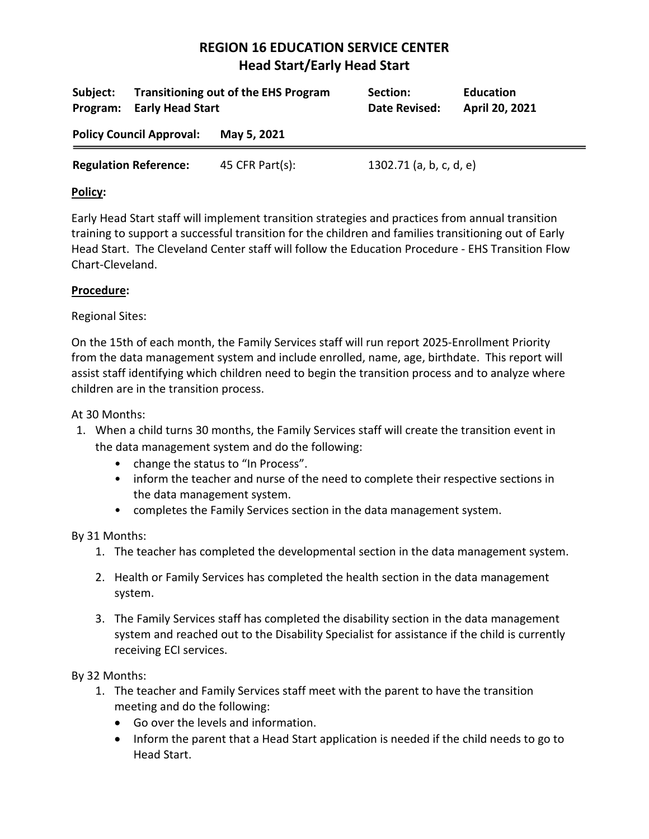| Subject:<br>Program:         | <b>Early Head Start</b>         | <b>Transitioning out of the EHS Program</b> | Section:<br>Date Revised: | <b>Education</b><br>April 20, 2021 |
|------------------------------|---------------------------------|---------------------------------------------|---------------------------|------------------------------------|
|                              | <b>Policy Council Approval:</b> | May 5, 2021                                 |                           |                                    |
| <b>Regulation Reference:</b> |                                 | 45 CFR Part(s):                             | 1302.71 (a, b, c, d, e)   |                                    |

## **Policy:**

Early Head Start staff will implement transition strategies and practices from annual transition training to support a successful transition for the children and families transitioning out of Early Head Start. The Cleveland Center staff will follow the Education Procedure - EHS Transition Flow Chart-Cleveland.

### **Procedure:**

### Regional Sites:

On the 15th of each month, the Family Services staff will run report 2025-Enrollment Priority from the data management system and include enrolled, name, age, birthdate. This report will assist staff identifying which children need to begin the transition process and to analyze where children are in the transition process.

At 30 Months:

- 1. When a child turns 30 months, the Family Services staff will create the transition event in the data management system and do the following:
	- change the status to "In Process".
	- inform the teacher and nurse of the need to complete their respective sections in the data management system.
	- completes the Family Services section in the data management system.

## By 31 Months:

- 1. The teacher has completed the developmental section in the data management system.
- 2. Health or Family Services has completed the health section in the data management system.
- 3. The Family Services staff has completed the disability section in the data management system and reached out to the Disability Specialist for assistance if the child is currently receiving ECI services.

By 32 Months:

- 1. The teacher and Family Services staff meet with the parent to have the transition meeting and do the following:
	- Go over the levels and information.
	- Inform the parent that a Head Start application is needed if the child needs to go to Head Start.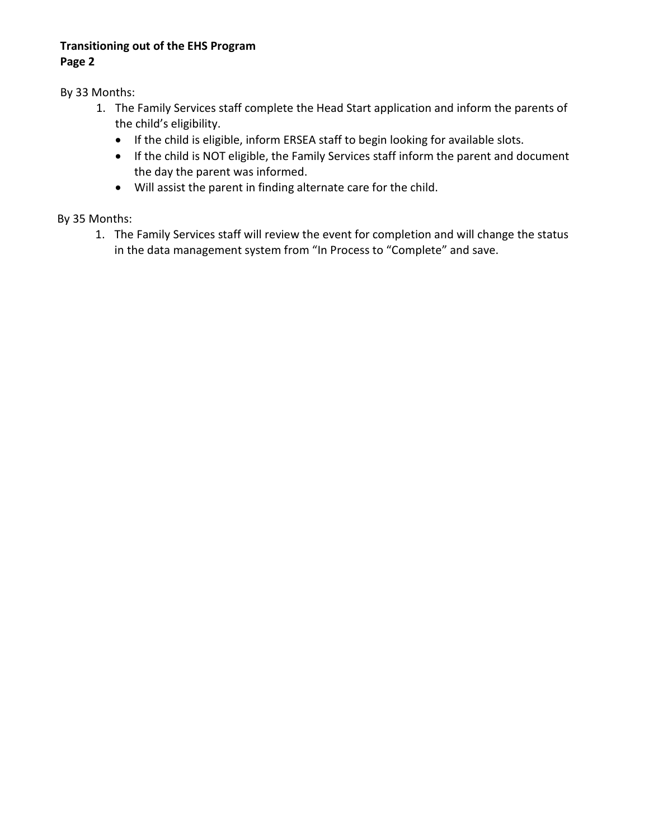## **Transitioning out of the EHS Program Page 2**

By 33 Months:

- 1. The Family Services staff complete the Head Start application and inform the parents of the child's eligibility.
	- If the child is eligible, inform ERSEA staff to begin looking for available slots.
	- If the child is NOT eligible, the Family Services staff inform the parent and document the day the parent was informed.
	- Will assist the parent in finding alternate care for the child.

By 35 Months:

1. The Family Services staff will review the event for completion and will change the status in the data management system from "In Process to "Complete" and save.